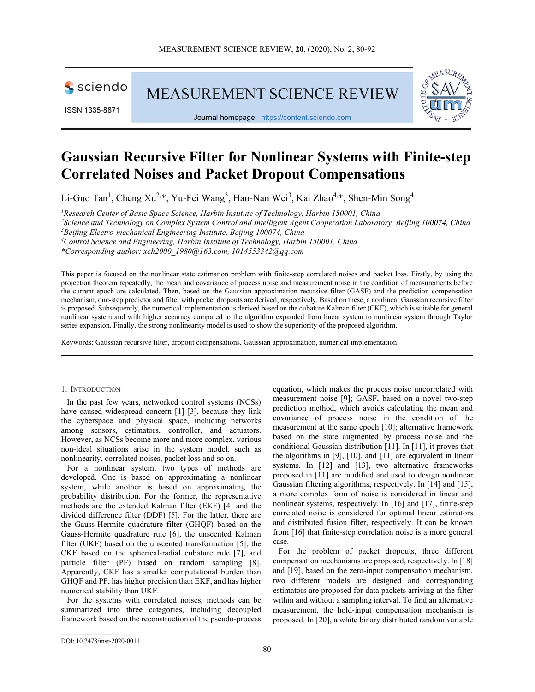sciendo

ISSN 1335-8871

**MEASUREMENT SCIENCE REVIEW** 



Journal homepage: https://content.sciendo.com

# Gaussian Recursive Filter for Nonlinear Systems with Finite-step Correlated Noises and Packet Dropout Compensations

Li-Guo Tan<sup>1</sup>, Cheng Xu<sup>2,\*</sup>, Yu-Fei Wang<sup>3</sup>, Hao-Nan Wei<sup>3</sup>, Kai Zhao<sup>4,\*</sup>, Shen-Min Song<sup>4</sup>

<sup>1</sup>Research Center of Basic Space Science, Harbin Institute of Technology, Harbin 150001, China

<sup>2</sup>Science and Technology on Complex System Control and Intelligent Agent Cooperation Laboratory, Beijing 100074, China

 $3B$ eijing Electro-mechanical Engineering Institute, Beijing 100074, China

<sup>4</sup>Control Science and Engineering, Harbin Institute of Technology, Harbin 150001, China

\*Corresponding author:  $xch2000$  1980 $@163.com$ , 1014553342 $@qq.com$ 

This paper is focused on the nonlinear state estimation problem with finite-step correlated noises and packet loss. Firstly, by using the projection theorem repeatedly, the mean and covariance of process noise and measurement noise in the condition of measurements before the current epoch are calculated. Then, based on the Gaussian approximation recursive filter (GASF) and the prediction compensation mechanism, one-step predictor and filter with packet dropouts are derived, respectively. Based on these, a nonlinear Gaussian recursive filter is proposed. Subsequently, the numerical implementation is derived based on the cubature Kalman filter (CKF), which is suitable for general nonlinear system and with higher accuracy compared to the algorithm expanded from linear system to nonlinear system through Taylor series expansion. Finally, the strong nonlinearity model is used to show the superiority of the proposed algorithm.

Keywords: Gaussian recursive filter, dropout compensations, Gaussian approximation, numerical implementation.

# 1. INTRODUCTION

In the past few years, networked control systems (NCSs) have caused widespread concern [1]-[3], because they link the cyberspace and physical space, including networks among sensors, estimators, controller, and actuators. However, as NCSs become more and more complex, various non-ideal situations arise in the system model, such as nonlinearity, correlated noises, packet loss and so on.

For a nonlinear system, two types of methods are developed. One is based on approximating a nonlinear system, while another is based on approximating the probability distribution. For the former, the representative methods are the extended Kalman filter (EKF) [4] and the divided difference filter (DDF) [5]. For the latter, there are the Gauss-Hermite quadrature filter (GHQF) based on the Gauss-Hermite quadrature rule [6], the unscented Kalman filter (UKF) based on the unscented transformation [5], the CKF based on the spherical-radial cubature rule [7], and particle filter (PF) based on random sampling [8]. Apparently, CKF has a smaller computational burden than GHQF and PF, has higher precision than EKF, and has higher numerical stability than UKF.

For the systems with correlated noises, methods can be summarized into three categories, including decoupled framework based on the reconstruction of the pseudo-process equation, which makes the process noise uncorrelated with measurement noise [9]; GASF, based on a novel two-step prediction method, which avoids calculating the mean and covariance of process noise in the condition of the measurement at the same epoch [10]; alternative framework based on the state augmented by process noise and the conditional Gaussian distribution [11]. In [11], it proves that the algorithms in [9], [10], and [11] are equivalent in linear systems. In [12] and [13], two alternative frameworks proposed in [11] are modified and used to design nonlinear Gaussian filtering algorithms, respectively. In [14] and [15], a more complex form of noise is considered in linear and nonlinear systems, respectively. In [16] and [17], finite-step correlated noise is considered for optimal linear estimators and distributed fusion filter, respectively. It can be known from [16] that finite-step correlation noise is a more general case.

For the problem of packet dropouts, three different compensation mechanisms are proposed, respectively. In [18] and [19], based on the zero-input compensation mechanism, two different models are designed and corresponding estimators are proposed for data packets arriving at the filter within and without a sampling interval. To find an alternative measurement, the hold-input compensation mechanism is proposed. In [20], a white binary distributed random variable

 $\mathcal{L}_\text{max}$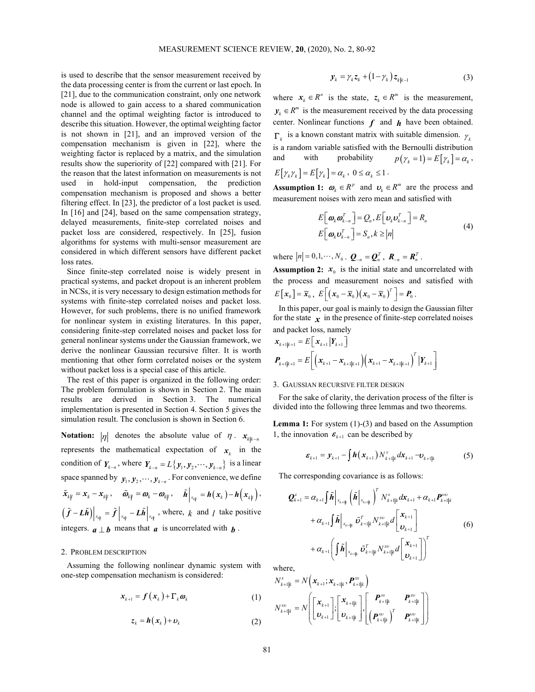is used to describe that the sensor measurement received by the data processing center is from the current or last epoch. In [21], due to the communication constraint, only one network node is allowed to gain access to a shared communication channel and the optimal weighting factor is introduced to describe this situation. However, the optimal weighting factor is not shown in [21], and an improved version of the compensation mechanism is given in [22], where the weighting factor is replaced by a matrix, and the simulation results show the superiority of [22] compared with [21]. For the reason that the latest information on measurements is not used in hold-input compensation, the prediction compensation mechanism is proposed and shows a better filtering effect. In [23], the predictor of a lost packet is used. In [16] and [24], based on the same compensation strategy, delayed measurements, finite-step correlated noises and packet loss are considered, respectively. In [25], fusion algorithms for systems with multi-sensor measurement are considered in which different sensors have different packet loss rates.

Since finite-step correlated noise is widely present in practical systems, and packet dropout is an inherent problem in NCSs, it is very necessary to design estimation methods for systems with finite-step correlated noises and packet loss. However, for such problems, there is no unified framework for nonlinear system in existing literatures. In this paper, considering finite-step correlated noises and packet loss for general nonlinear systems under the Gaussian framework, we derive the nonlinear Gaussian recursive filter. It is worth mentioning that other form correlated noises or the system without packet loss is a special case of this article. Example the step correlated noise is widely present in **Assumption 2:**  $x_i$  is the initial state and uncorrelated with practical systems, and packet dropouri is in inherent problems from the process and state dropouri cas

The rest of this paper is organized in the following order: The problem formulation is shown in Section 2. The main results are derived in Section 3. The numerical implementation is presented in Section 4. Section 5 gives the simulation result. The conclusion is shown in Section 6.

**Notation:**  $|\eta|$  denotes the absolute value of  $\eta$ .  $x_{k|k-n}$ represents the mathematical expectation of  $x_k$  in the condition of  $Y_{k-n}$ , where  $Y_{k-n} = L\{y_1, y_2, \dots, y_{k-n}\}\$ is a linear space spanned by  $y_1, y_2, \dots, y_{k-n}$ . For convenience, we define  $\tilde{f} - L\tilde{h}$   $\left| \int_{x_{kl}} = \tilde{f} \right|_{x_{kl}} - L\tilde{h} \left| \int_{x_{kl}} \right|$ , where,  $k$  and  $l$  take positive integers.  $\boldsymbol{a} \perp \boldsymbol{b}$  means that  $\boldsymbol{a}$  is uncorrelated with  $\boldsymbol{b}$ .

### 2. PROBLEM DESCRIPTION

Assuming the following nonlinear dynamic system with one-step compensation mechanism is considered:

$$
\boldsymbol{x}_{k+1} = \boldsymbol{f}\left(\boldsymbol{x}_{k}\right) + \boldsymbol{\Gamma}_{k}\boldsymbol{\omega}_{k} \tag{1}
$$

$$
z_k = h(x_k) + v_k \tag{2}
$$

$$
\mathbf{y}_k = \gamma_k \mathbf{z}_k + (1 - \gamma_k) \mathbf{z}_{k|k-1} \tag{3}
$$

where  $x_k \in R^n$  is the state,  $z_k \in R^m$  is the measurement,  $y_k \in \mathbb{R}^m$  is the measurement received by the data processing center. Nonlinear functions  $f$  and  $h$  have been obtained.  $\Gamma_k$  is a known constant matrix with suitable dimension.  $\gamma_k$ is a random variable satisfied with the Bernoulli distribution and with probability  $p(\gamma_k = 1) = E[\gamma_k] = \alpha_k$ ,  $E[\gamma_k \gamma_k] = E[\gamma_k] = \alpha_k, 0 \le \alpha_k \le 1$ .  $y_k = \gamma_k z_k + (1 - \gamma_k) z_{k|k-1}$  (3)<br>
where  $x_k \in R^n$  is the state,  $z_k \in R^m$  is the measurement,<br>  $y_k \in R^m$  is the measurement received by the data processing<br>
center. Nonlinear functions  $f$  and  $h$  have been obtained.<br>  $\Gamma_k$ 

**Assumption 1:**  $\boldsymbol{\omega}_k \in \mathbb{R}^p$  and  $\boldsymbol{\omega}_k \in \mathbb{R}^m$  are the process and measurement noises with zero mean and satisfied with

$$
E[\boldsymbol{\omega}_{k}\boldsymbol{\omega}_{k-n}^{T}] = Q_{n}, E[\boldsymbol{\omega}_{k}\boldsymbol{\omega}_{k-n}^{T}] = R_{n}
$$
  
\n
$$
E[\boldsymbol{\omega}_{k}\boldsymbol{\omega}_{k-n}^{T}] = S_{n}, k \ge |n|
$$
 (4)

where  $|n| = 0, 1, \dots, N_0$ .  $Q_{-n} = Q_n^T$ ,  $R_{-n} = R_n^T$ .

**Assumption 2:**  $x_0$  is the initial state and uncorrelated with the process and measurement noises and satisfied with

In this paper, our goal is mainly to design the Gaussian filter for the state  $x$  in the presence of finite-step correlated noises and packet loss, namely

$$
\mathbf{x}_{k+1|k+1} = E\left[\mathbf{x}_{k+1} | \mathbf{Y}_{k+1}\right] \n\mathbf{P}_{k+1|k+1} = E\left[\left(\mathbf{x}_{k+1} - \mathbf{x}_{k+1|k+1}\right)\left(\mathbf{x}_{k+1} - \mathbf{x}_{k+1|k+1}\right)^T | \mathbf{Y}_{k+1}\right]
$$

#### 3. GAUSSIAN RECURSIVE FILTER DESIGN

For the sake of clarity, the derivation process of the filter is divided into the following three lemmas and two theorems.

Lemma 1: For system (1)-(3) and based on the Assumption 1, the innovation  $\boldsymbol{\varepsilon}_{k+1}$  can be described by

$$
\boldsymbol{\varepsilon}_{k+1} = \boldsymbol{y}_{k+1} - \int \boldsymbol{h}(\boldsymbol{x}_{k+1}) N_{k+1|k}^{x} d\boldsymbol{x}_{k+1} - \boldsymbol{v}_{k+1|k} \tag{5}
$$

The corresponding covariance is as follows:

**PROS3ARY RECKSIVE FILER BESOR**  
\nthe sake of clarity, the derivation process of the filter is  
\nded into the following three lemmas and two theorems.  
\n**nma 1:** For system (1)-(3) and based on the Assumption  
\nie innovation 
$$
\mathbf{\varepsilon}_{k+1}
$$
 can be described by  
\n
$$
\mathbf{\varepsilon}_{k+1} = \mathbf{y}_{k+1} - \int \mathbf{h}(\mathbf{x}_{k+1}) N_{k+1|k}^x d\mathbf{x}_{k+1} - \mathbf{v}_{k+1|k}
$$
(5)  
\nne corresponding covariance is as follows:  
\n
$$
\mathbf{Q}_{k+1}^c = \alpha_{k+1} \int \tilde{\mathbf{h}} \Big|_{\mathbf{x}_{k+1|k}} \left( \tilde{\mathbf{h}} \Big|_{\mathbf{x}_{k+1|k}} \right)^T N_{k+1|k}^x d\mathbf{x}_{k+1} + \alpha_{k+1} \mathbf{P}_{k+1|k}^{UU}
$$
  
\n
$$
+ \alpha_{k+1} \int \tilde{\mathbf{h}} \Big|_{\mathbf{x}_{k+1|k}} \tilde{\mathbf{v}}_{k+1|k}^T N_{k+1|k}^{XU} d\Big|_{\mathbf{v}_{k+1}}^{\mathbf{x}_{k+1}} \Big]
$$
(6)  
\n
$$
+ \alpha_{k+1} \Big( \int \tilde{\mathbf{h}} \Big|_{\mathbf{x}_{k+1|k}} \tilde{\mathbf{v}}_{k+1|k}^T N_{k+1|k}^{XU} d\Big|_{\mathbf{v}_{k+1}}^{\mathbf{x}_{k+1}} \Big)^T
$$
  
\nre,  
\n
$$
\mathbf{u}_k = N \Big( \mathbf{x}_{k+1}^T \mathbf{x}_{k+1|k}, \mathbf{P}_{k+1|k}^T \Big)
$$
  
\n
$$
= N \Big[ \mathbf{x}_{k+1}^T \Big] \cdot \Big[ \mathbf{x}_{k+1|k}^T \Big] \cdot \Big[ \mathbf{P}_{k+1|k}^{XU} \Big] \cdot \Big[ \mathbf{P}_{k+1|k}^{XU} \Big] \cdot \Big[ \mathbf{P}_{k+1|k}^{XU} \Big] \Big]
$$

where,

$$
N_{k+1|k}^{x} = N\left(\mathbf{x}_{k+1}; \mathbf{x}_{k+1|k}, \boldsymbol{P}_{k+1|k}^{xx}\right)
$$
  

$$
N_{k+1|k}^{xy} = N\left[\begin{bmatrix} \mathbf{x}_{k+1} \\ \mathbf{D}_{k+1} \end{bmatrix}; \begin{bmatrix} \mathbf{x}_{k+1|k} \\ \mathbf{D}_{k+1|k} \end{bmatrix}, \begin{bmatrix} \boldsymbol{P}_{k+1|k}^{xx} & \boldsymbol{P}_{k+1|k}^{xy} \\ \left(\boldsymbol{P}_{k+1|k}^{xy}\right)^{T} & \boldsymbol{P}_{k+1|k}^{yy} \end{bmatrix}\right)
$$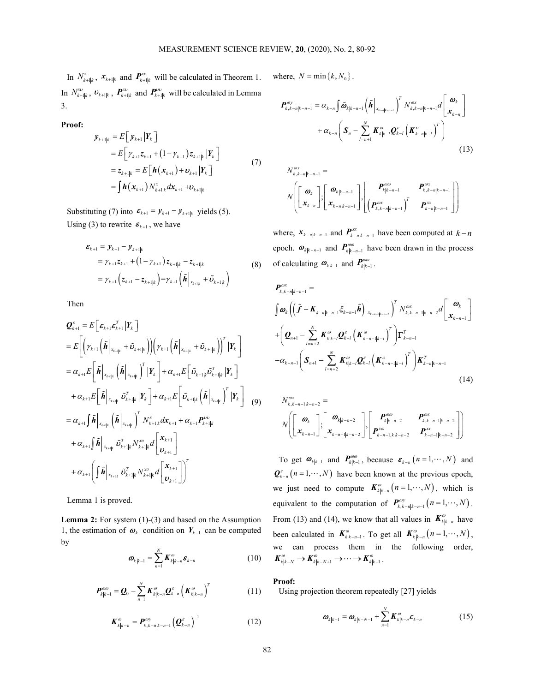In  $N_{k+1|k}^x$ ,  $\mathbf{x}_{k+1|k}$  and  $\mathbf{P}_{k+1|k}^{\text{ex}}$  will be calculated in Theorem 1. where,  $N = \min\{k, N_0\}$ . In  $N_{k+1|k}^x$ ,  $\bm{v}_{k+1|k}$ ,  $\bm{P}_{k+1|k}^x$  and  $\bm{P}_{k+1|k}^y$  will be calculated in Lemma 3.

Proof:

$$
\mathbf{y}_{k+1|k} = E[\mathbf{y}_{k+1} | \mathbf{Y}_k] \n= E[\gamma_{k+1} z_{k+1} + (1 - \gamma_{k+1}) z_{k+1|k} | \mathbf{Y}_k] \n= z_{k+1|k} = E[\mathbf{h}(\mathbf{x}_{k+1}) + \mathbf{v}_{k+1} | \mathbf{Y}_k] \n= \int \mathbf{h}(\mathbf{x}_{k+1}) N_{k+1|k}^x d\mathbf{x}_{k+1} + \mathbf{v}_{k+1|k}
$$
\n(7)

Substituting (7) into  $\boldsymbol{\varepsilon}_{k+1} = \boldsymbol{y}_{k+1} - \boldsymbol{y}_{k+1|k}$  yields (5). Using (3) to rewrite  $\boldsymbol{\varepsilon}_{k+1}$ , we have

$$
\begin{split} \boldsymbol{\varepsilon}_{k+1} &= \boldsymbol{y}_{k+1} - \boldsymbol{y}_{k+1|k} \\ &= \gamma_{k+1} \boldsymbol{z}_{k+1} + \left(1 - \gamma_{k+1}\right) \boldsymbol{z}_{k+1|k} - \boldsymbol{z}_{k+1|k} \\ &= \gamma_{k+1} \left(\boldsymbol{z}_{k+1} - \boldsymbol{z}_{k+1|k}\right) = \gamma_{k+1} \left(\tilde{\boldsymbol{h}}\Big|_{\boldsymbol{x}_{k+1|k}} + \tilde{\boldsymbol{v}}_{k+1|k}\right) \end{split} \tag{8}
$$

Then

$$
\mathbf{Q}_{k+1}^{\varepsilon} = E\bigg[\varepsilon_{k+1} \varepsilon_{k+1}^{T} | Y_{k} \bigg] + \bigg(\mathbf{Z}_{k+1} \left(\tilde{\boldsymbol{h}} \bigg|_{x_{k+1|k}} + \tilde{\boldsymbol{\nu}}_{k+1|k}\right) \bigg) \bigg(\gamma_{k+1} \left(\tilde{\boldsymbol{h}} \bigg|_{x_{k+1|k}} + \tilde{\boldsymbol{\nu}}_{k+1|k}\right) \bigg)^{T} | Y_{k} \bigg] + \bigg(\mathbf{Q}_{n+1} - \sum_{l=n+2}^{N} \mathbf{Z}_{n+l}^{T} \bigg) \bigg(\mathbf{Z}_{n+l} \left(\tilde{\boldsymbol{h}} \bigg|_{x_{k+1|k}} + \tilde{\boldsymbol{\nu}}_{k+1|k}\right) \bigg)^{T} | Y_{k} \bigg] + \alpha_{k+1} E\bigg[\tilde{\boldsymbol{\nu}}_{k+1|k} \left(\tilde{\boldsymbol{\nu}}_{k+1|k}^{T} | Y_{k} \bigg] - \alpha_{k-n-1} \bigg(\mathbf{S}_{n+1} - \alpha_{k-n-1} \bigg) \bigg(\mathbf{S}_{n+1} \bigg) \bigg) + \alpha_{k+1} E\bigg[\tilde{\boldsymbol{\mu}} \bigg|_{x_{k+1|k}} + \alpha_{k+1} E\bigg[\tilde{\boldsymbol{\nu}}_{k+1|k} \left(\tilde{\boldsymbol{\mu}} \bigg|_{x_{k+1|k}}\right)^{T} | Y_{k} \bigg] - \alpha_{k-n-1} \bigg(\mathbf{S}_{n+1} \bigg) \bigg) + \alpha_{k+1} E\bigg[\tilde{\boldsymbol{\mu}} \bigg]_{x_{k+1|k}} + \alpha_{k+1} E\bigg[\tilde{\boldsymbol{\mu}} \bigg]_{x_{k+1|k}} + \alpha_{k+1} \mathbf{S}_{n+1|k}^{T} \mathbf{A}_{x_{k+1}} + \alpha_{k+1} \mathbf{P}_{n+1|k}^{T} \bigg) - \frac{\alpha_{k-n-1} \left(\mathbf{S}_{n+1} \mathbf{S}_{n+1}^{T} | Y_{k} \bigg) \bigg(\mathbf{S}_{n+1} \bigg) \bigg)}{ \bigg(\mathbf{S}_{n+1} \bigg(\mathbf{S}_{n+
$$

Lemma 1 is proved.

Lemma 2: For system (1)-(3) and based on the Assumption 1, the estimation of  $\boldsymbol{\omega}_k$  condition on  $Y_{k-1}$  can be computed by

$$
\boldsymbol{\omega}_{k|k-1} = \sum_{n=1}^{N} \boldsymbol{K}_{k|k-n}^{\omega} \boldsymbol{\varepsilon}_{k-n}
$$
(10)

$$
\boldsymbol{P}_{k|k-1}^{\omega\omega} = \boldsymbol{Q}_0 - \sum_{n=1}^N \boldsymbol{K}_{k|k-n}^{\omega} \boldsymbol{Q}_{k-n}^{\varepsilon} \left( \boldsymbol{K}_{k|k-n}^{\omega} \right)^T \qquad (11)
$$

$$
\boldsymbol{K}_{k|k-n}^{\omega} = \boldsymbol{P}_{k,k-n|k-n-1}^{\omega y} \left(\boldsymbol{Q}_{k-n}^{\varepsilon}\right)^{-1} \tag{12}
$$

MEASUREMENT SCIENCE REVIEW, 20, (2020), No. 2, 80-92  
\nand 
$$
P_{k+1|k}^{\infty}
$$
 will be calculated in Theorem 1. where,  $N = \min\{k, N_0\}$ .  
\n $P_{k+1|k}^{\infty}$  and  $P_{k+1|k}^{\infty}$  will be calculated in Lemma  
\n
$$
P_{k,k-n|k-n-1}^{\infty} = \alpha_{k-n} \int \tilde{\Phi}_{k|k-n-1}(\tilde{h}|_{x_{k-1|k-1}})^{r} N_{k,k-n|k-n-1}^{\infty} d\left[\begin{matrix} \mathbf{0}_{k} \\ \mathbf{0}_{k} \end{matrix}\right]
$$
\n
$$
E\left[\begin{matrix} y_{k+1} \mathbf{Z}_{k+1} + (1 - y_{k+1}) \mathbf{Z}_{k+1|k} | \mathbf{Y}_{k} \end{matrix}\right]
$$
\n(13)  
\n $E\left[\begin{matrix} y_{k+1} \mathbf{Z}_{k+1} + (1 - y_{k+1}) \mathbf{Z}_{k+1|k} | \mathbf{Y}_{k} \end{matrix}\right]$ \n(15)  
\n
$$
\text{into } \mathcal{E}_{k+1} = E\left[\begin{matrix} h(\mathbf{x}_{k+1}) + \mathbf{0}_{k+1} | \mathbf{Y}_{k} \end{matrix}\right]
$$
\n(17)  
\n $N_{k,n|k-n-1}^{\infty} = N_{k-1} \left[\begin{matrix} \mathbf{0}_{k} \\ \mathbf{X}_{k,n} \end{matrix}\right] \left[\begin{matrix} \mathbf{0}_{k|k-n-1} \\ \mathbf{0}_{k,n-1} \end{matrix}\right] \left[\begin{matrix} \mathbf{0}_{k|k-n-1} \\ \mathbf{0}_{k,n-1} \end{matrix}\right] \left[\begin{matrix} \mathbf{0}_{k|k-n-1} \\ \mathbf{0}_{k,n-1} \end{matrix}\right]$ \n(13)  
\n $N_{k+1|k}^{\infty}$  and  $\mathcal{E}_{k+1}^{\infty}$  yields (5).  
\n
$$
\mathbf{V}(\mathbf{X}_{k+1}) = \mathbf{V}_{k+1|k} \quad \text{yields (5).}
$$
\nwhere,  $\mathbf{x}_{k-n|k-n-1}$ 

$$
N_{k,k-n|k-n-1}^{\omega x} = N_{k,k-n|k-n-1}^{\omega x} \left[ \begin{array}{c} \boldsymbol{\varpi}_{k|k-n-1} \\ \boldsymbol{x}_{k-n} \end{array} \right] \left[ \begin{array}{c} \boldsymbol{P}_{k|k-n-1}^{\omega\omega} & \boldsymbol{P}_{k,k-n|k-n-1}^{\omega x} \\ \boldsymbol{P}_{k,k-n|k-n-1}^{\omega x} & \boldsymbol{P}_{k-n|k-n-1}^{\omega x} \end{array} \right] \right]
$$

where,  $x_{k-n|k-n-1}$  and  $P_{k-n|k-n-1}^{xx}$  have been computed at  $k-n$ epoch.  $\boldsymbol{\omega}_{k|k-n-1}$  and  $\boldsymbol{P}_{k|k-n-1}^{\omega\omega}$  have been drawn in the process of calculating  $\boldsymbol{\omega}_{k|k-1}$  and  $\boldsymbol{P}_{k|k-1}^{\omega\omega}$ 

$$
y_{k+|\mathbf{k}} \rightarrow \mathbf{P}_{k+|\mathbf{k}} \text{ and } \mathbf{P}_{k+|\mathbf{k}}^{(m)} \text{ will be calculated in Lemma}
$$
\n
$$
y_{k+|\mathbf{k}} = E\left[ y_{k+1} | Y_k \right]
$$
\n
$$
= E\left[ y_{k+1} | Y_k \right]
$$
\n
$$
= E\left[ y_{k+1} | Y_k \right]
$$
\n
$$
= E\left[ h(x_{k+1}) + v_{k+1} | \mathbf{k} \right]
$$
\n
$$
= \sum_{k+|\mathbf{k}|} E\left[ h(x_{k+1}) + v_{k+1} | \mathbf{k} \right]
$$
\n
$$
= \sum_{k+|\mathbf{k}|} E\left[ h(x_{k+1}) + v_{k+1} | \mathbf{k} \right]
$$
\n
$$
= \sum_{k+|\mathbf{k}|} E\left[ h(x_{k+1}) + v_{k+1} | \mathbf{k} \right]
$$
\n
$$
= \sum_{k+|\mathbf{k}|} E\left[ h(x_{k+1}) + v_{k+1} | \mathbf{k} \right]
$$
\n
$$
= \sum_{k+|\mathbf{k}|} E\left[ h(x_{k+1}) + v_{k+1} | \mathbf{k} \right]
$$
\n
$$
= \sum_{k+|\mathbf{k}|} \left[ \frac{\mathbf{P}_{\mathbf{k}} \mathbf{P}_{\mathbf{k}} - \mathbf{P}_{\mathbf{k}} \mathbf{P}_{\mathbf{k}} - \mathbf{P}_{\mathbf{k}} \mathbf{P}_{\mathbf{k}} \mathbf{P}_{\mathbf{k}} - \mathbf{P}_{\mathbf{k}} \mathbf{P}_{\mathbf{k}} \mathbf{P}_{\mathbf{k}} - \mathbf{P}_{\mathbf{k}} \mathbf{P}_{\mathbf{k}} \mathbf{P}_{\mathbf{k}} - \mathbf{P}_{\mathbf{k}} \mathbf{P}_{\mathbf{k}} \mathbf{P}_{\mathbf{k}} - \mathbf{P}_{\mathbf{k}} \mathbf{P}_{\mathbf{k}} \mathbf{P}_{\mathbf{k}} \mathbf{P}_{\mathbf{k}} \mathbf{P}_{\mathbf{k}} - \mathbf{P}_{\mathbf{k}} \mathbf{P}_{\mathbf{k}} \mathbf{P}_{\mathbf{k}} \mathbf{P}_{\mathbf{k}} \mathbf{P}_{\mathbf{k}} \mathbf{P}_{\mathbf{k}} \mathbf{P}_{\mathbf{k
$$

$$
N_{k,k-n-1|k-n-2}^{\omega x} = \nN \left[ \begin{bmatrix} \boldsymbol{\omega}_k \\ \boldsymbol{x}_{k-n-1} \end{bmatrix}; \begin{bmatrix} \boldsymbol{\omega}_{k|k-n-2} \\ \boldsymbol{x}_{k-n-1|k-n-2} \end{bmatrix}, \begin{bmatrix} \boldsymbol{P}_{k|k-n-2}^{\omega \omega} & \boldsymbol{P}_{k,k-n-1|k-n-2}^{\omega x} \\ \boldsymbol{P}_{k-n-1,k|k-n-2}^{\omega \omega} & \boldsymbol{P}_{k-n-1|k-n-2}^{\omega x} \end{bmatrix} \right]
$$

 $\phi_{k_{\text{tot}}}(\vec{h}|_{\tau_{k+1}})^T | \mathbf{F}_k + \alpha_{\tau_{k+1}} E[\vec{b}_{k+1}|_{\vec{b}} \vec{F}_k]$ <br>  $\phi_{k+1}(\vec{h}|_{\tau_{k+1}}) = \frac{-\alpha_{\tau_{k+1}}}{2} \sum_{i=1}^{\infty} \mathbf{A}_{ijk-i} \mathbf{C}_{k-i}(\mathbf{A}_{k-i} + \vec{b}_{i} + \vec{c}_{i})$  (14)<br>  $\phi_{k+1}^T |\mathbf{F}_k| + \alpha_{\tau_{k+1}} E[\vec{b}_{k+1}|_{\vec{b}} \vec{$ To get  $\boldsymbol{\omega}_{k|k-1}$  and  $\boldsymbol{P}_{k|k-1}^{\omega\omega}$ , because  $\boldsymbol{\varepsilon}_{k-n}$   $(n = 1, \cdots, N)$  and  $\mathbf{Q}_{k-n}^{\varepsilon}(n=1,\cdots,N)$  have been known at the previous epoch, we just need to compute  $\mathbf{K}_{k|k-n}^{\omega}(n=1,\cdots,N)$ , which is equivalent to the computation of  $P_{k,k-n|k-n-1}^{ay}$   $(n=1,\dots,N)$ . From (13) and (14), we know that all values in  $K_{k|k-n}^{\omega}$  have been calculated in  $K_{k|k-n-1}^{\omega}$ . To get all  $K_{k|k-n}^{\omega}(n=1,\dots,N)$ , we can process them in the following order,  $\mathbf{K}_{k|k-N}^{\omega} \to \mathbf{K}_{k|k-N+1}^{\omega} \to \cdots \to \mathbf{K}_{k|k-1}^{\omega}$ .

# Proof:

Using projection theorem repeatedly [27] yields

$$
\boldsymbol{\omega}_{k|k-1} = \boldsymbol{\omega}_{k|k-N-1} + \sum_{n=1}^{N} \boldsymbol{K}_{k|k-n}^{\omega} \boldsymbol{\varepsilon}_{k-n}
$$
(15)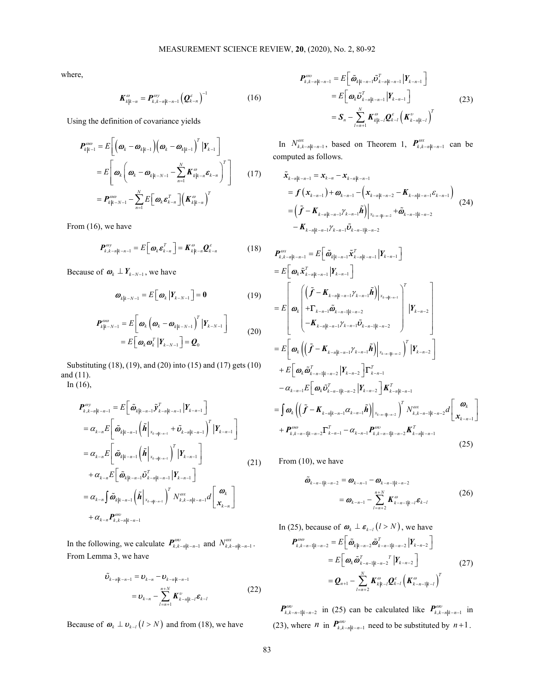where,

$$
\boldsymbol{K}_{k|k-n}^{\omega} = \boldsymbol{P}_{k,k-n|k-n-1}^{\omega y} \left(\boldsymbol{Q}_{k-n}^{\varepsilon}\right)^{-1} \tag{16}
$$

Using the definition of covariance yields

$$
\boldsymbol{P}_{k|k-1}^{\omega\omega} = E\bigg[\bigg(\boldsymbol{\omega}_k - \boldsymbol{\omega}_{k|k-1}\bigg)\bigg(\boldsymbol{\omega}_k - \boldsymbol{\omega}_{k|k-1}\bigg)^T \big| Y_{k-1} \bigg] \qquad \text{In}
$$
\n
$$
= E\bigg[\boldsymbol{\omega}_k \bigg(\boldsymbol{\omega}_k - \boldsymbol{\omega}_{k|k-N-1} - \sum_{n=1}^N \boldsymbol{K}_{k|k-n}^{\omega} \boldsymbol{\varepsilon}_{k-n} \bigg)^T \bigg] \qquad (17) \qquad \tilde{\boldsymbol{x}}_j
$$
\n
$$
= \boldsymbol{P}_{k|k-N-1}^{\omega\omega} - \sum_{n=1}^N E\bigg[\boldsymbol{\omega}_k \boldsymbol{\varepsilon}_{k-n}^T \bigg] \bigg(\boldsymbol{K}_{k|k-n}^{\omega}\bigg)^T
$$

From (16), we have

$$
\boldsymbol{P}_{k,k-n|k-n-1}^{\omega y} = E\big[\boldsymbol{\omega}_k \boldsymbol{\varepsilon}_{k-n}^T\big] = \boldsymbol{K}_{k|k-n}^{\omega} \boldsymbol{Q}_{k-n}^{\varepsilon} \tag{18}
$$

Because of  $\boldsymbol{\omega}_k \perp \boldsymbol{Y}_{k-N-1}$ , we have

$$
\boldsymbol{\omega}_{k|k-N-1} = E\big[\boldsymbol{\omega}_k \big| \boldsymbol{Y}_{k-N-1}\big] = \mathbf{0} \tag{19}
$$

$$
\boldsymbol{P}_{k|k-N-1}^{\omega\omega} = E\bigg[\boldsymbol{\omega}_k \left(\boldsymbol{\omega}_k - \boldsymbol{\omega}_{k|k-N-1}\right)^T | \boldsymbol{Y}_{k-N-1} \bigg] \n= E\bigg[\boldsymbol{\omega}_k \boldsymbol{\omega}_k^T | \boldsymbol{Y}_{k-N-1} \bigg] = \boldsymbol{Q}_0
$$
\n(20)

Substituting (18), (19), and (20) into (15) and (17) gets (10) and (11). In (16),

$$
\begin{split}\n\boldsymbol{P}_{k,k-n|k-n-1}^{ov} &= E\bigg[\boldsymbol{\tilde{\omega}}_{k|k-n-1} \boldsymbol{\tilde{y}}_{k-n|k-n-1}^T \big| \boldsymbol{Y}_{k-n-1}\bigg] \\
&= \alpha_{k-n} E\bigg[\boldsymbol{\tilde{\omega}}_{k|k-n-1} \left(\boldsymbol{\tilde{h}}\big|_{\boldsymbol{x}_{k-n|k-n-1}} + \boldsymbol{\tilde{\omega}}_{k-n|k-n-1}\right)^T \big| \boldsymbol{Y}_{k-n-1}\bigg] \\
&= \alpha_{k-n} E\bigg[\boldsymbol{\tilde{\omega}}_{k|k-n-1} \left(\boldsymbol{\tilde{h}}\big|_{\boldsymbol{x}_{k-n|k-n-1}}\right)^T \big| \boldsymbol{Y}_{k-n-1}\bigg] \\
&+ \alpha_{k-n} E\bigg[\boldsymbol{\tilde{\omega}}_{k|k-n-1} \boldsymbol{\tilde{\omega}}_{k-n-1}^T \big| \boldsymbol{\tilde{h}}_{k-n-1}\big| \boldsymbol{Y}_{k-n-1}\bigg] \\
&= \alpha_{k-n} \int \boldsymbol{\tilde{\omega}}_{k|k-n-1} \left(\boldsymbol{\tilde{h}}\big|_{\boldsymbol{x}_{k-n|k-n-1}}\right)^T N_{k,k-n|k-n-1}^{\omega x} d\bigg[\boldsymbol{\tilde{\omega}}_{k-n}\bigg] \\
&+ \alpha_{k-n} \boldsymbol{P}_{k,k-n|k-n-1}^{\omega v}\n\end{split} \tag{21}
$$

In the following, we calculate  $P_{k, k - n|k - n-1}^{\omega v}$  and  $N_{k, k - n|k - n-1}^{\omega x}$ . From Lemma 3, we have

$$
\tilde{\boldsymbol{\nu}}_{k-n|k-n-1} = \boldsymbol{\nu}_{k-n} - \boldsymbol{\nu}_{k-n|k-n-1} \n= \boldsymbol{\nu}_{k-n} - \sum_{l=n+1}^{n+N} \boldsymbol{K}_{k-n|k-l}^{\nu} \boldsymbol{\varepsilon}_{k-l}
$$
\n(22)

Because of  $\boldsymbol{\omega}_k \perp \boldsymbol{\omega}_{k-l}$   $(l > N)$  and from (18), we have

20, (2020), No. 2, 80-92  
\n
$$
\boldsymbol{P}_{k,k-n|k-n-1}^{\omega\omega} = E\left[\tilde{\boldsymbol{\omega}}_{k|k-n-1}\tilde{\boldsymbol{U}}_{k-n|k-n-1}^{T}\Big| \boldsymbol{Y}_{k-n-1}\right]
$$
\n
$$
= E\left[\boldsymbol{\omega}_{k}\tilde{\boldsymbol{U}}_{k-n|k-n-1}^{T}\Big| \boldsymbol{Y}_{k-n-1}\right]
$$
\n
$$
= \boldsymbol{S}_{n} - \sum_{l=n+1}^{N} \boldsymbol{K}_{k|k-l}^{\omega} \boldsymbol{Q}_{k-l}^{c} \left(\boldsymbol{K}_{k-n|k-l}^{\omega}\right)^{T}
$$
\n
$$
\sum_{k,k-n|k-n-1}^{\omega x}, \text{ based on Theorem 1, } \boldsymbol{P}_{k,k-n|k-n-1}^{\omega x} \text{ can be}
$$
\n
$$
\text{ed as follows.}
$$

In  $N_{k,k-n|k-n-1}^{ax}$ , based on Theorem 1,  $P_{k,k-n|k-n-1}^{ax}$  can be computed as follows.

UREMENT SCIENCE REVIEW, 20, (2020), No. 2, 80-92

\n
$$
P_{k,k-n|k-n-1}^{ov} = E\left[\tilde{\omega}_{k|k-n-1}\tilde{U}_{k-n-1}^{T}\right] \qquad (16)
$$
\n
$$
= E\left[\omega_{k}\tilde{U}_{k-n|k-n-1}^{T}\Big|Y_{k-n-1}\right] \qquad (23)
$$
\nyields

\n
$$
= S_{n} - \sum_{l=n+1}^{N} K_{k|k-l}^{ov} Q_{k-l}^{c} \left(K_{k-n|k-l}^{v}\right)^{T}
$$
\n
$$
= S_{n} - \sum_{l=n+1}^{N} K_{k|k-l}^{ov} Q_{k-l}^{c} \left(K_{k-n|k-l}^{v}\right)^{T}
$$
\n
$$
\left[\frac{K_{k|k-1}}{K_{k|k-n}}\right]^{T} \qquad \text{In } N_{k,k-n|k-n-1}^{ov}
$$
\nis the same as follows.

\n
$$
\left[\frac{K_{k|k-n}^{ov}}{K_{k|k-n}}\right]^{T} = f\left(x_{k-n-1}\right) + \omega_{k-n-1} - \left(x_{k-n|k-n-2} - K_{k-n|k-n-2}\right)
$$
\n
$$
= \left(\tilde{f} - K_{k-n|k-n-1}\tilde{V}_{k-n-1}\tilde{V}_{k-n-1}\right)^{T} \qquad (17)
$$
\n
$$
= \left(\tilde{f} - K_{k-n|k-n-1}\tilde{V}_{k-n-1}\tilde{V}_{k-n-1}^{c} + \tilde{\omega}_{k-n-1|k-n-2}^{c} \right)
$$
\n
$$
= K_{k-1|k-n-1}\tilde{V}_{k-n-1}\tilde{V}_{k-n-1}^{c} + \tilde{\omega}_{k-n-1|k-n-2}
$$
\n
$$
= K_{k|k-n-1}\tilde{V}_{k-n-1}^{c} + \tilde{\omega}_{k-n|k-n-2}^{c} \qquad (18)
$$
\n
$$
P_{k,k-n|k-n-1}^{ov}
$$
\n
$$
= \left[\tilde{\omega}_{k|k-n-1}\tilde{X}_{k-n|k-n-1}^{c} - \tilde{V}_{k-n-1}^{c} |
$$

$$
K_{4|t_{n-1}}^{\omega} = P_{t_{n-1},\omega_{n-1}}^{\omega_{n-1}}(Q_{t-n}^{c})^{-1}
$$
\n(16)  
\n
$$
= E[\omega_{\theta_{1}}\bar{Q}_{t_{n},\omega_{n-1}}\bar{Q}_{t_{n},\omega_{n}}^{c}] \qquad (23)
$$
\n
$$
= S_{v_{n}} - \sum_{r=n+1}^{N} K_{\theta_{1}}^{c} \sum_{r=n+1}^{c} \left[ K_{r-n+1}^{c} \right]
$$
\n
$$
\omega_{1} - \omega_{0+1} \left[ \omega_{0} - \omega_{0+1} \right]^{-1} \sum_{r=n+1}^{N} K_{\theta_{1}}^{c} \sum_{r=n+1}^{c} \left[ K_{r-n+1}^{c} \right]
$$
\n(27)  
\n
$$
\omega_{1} - \sum_{r=n+1}^{N} K_{\theta_{1}}^{c} \sum_{r=n+1}^{c} K_{\theta_{1}}^{c} \sum_{r=n+1}^{c} \left[ K_{\theta_{1}}^{c} \sum_{r=n+1}^{c} \left[ K_{\theta_{1}}^{c} \sum_{r=n+1}^{c} \left[ K_{\theta_{1}}^{c} \sum_{r=n+1}^{c} \left[ K_{\theta_{1}}^{c} \sum_{r=n+1}^{c} \left[ K_{\theta_{1}}^{c} \sum_{r=n+1}^{c} \left[ K_{\theta_{1}}^{c} \sum_{r=n+1}^{c} \left[ K_{\theta_{1}}^{c} \sum_{r=n+1}^{c} \left[ K_{\theta_{1}}^{c} \sum_{r=n+1}^{c} \left[ K_{\theta_{1}}^{c} \sum_{r=n+1}^{c} \left[ K_{\theta_{1}}^{c} \sum_{r=n+1}^{c} \left[ K_{\theta_{1}}^{c} \sum_{r=n+1}^{c} \left[ K_{\theta_{1}}^{c} \sum_{r=n+1}^{c} \left[ K_{\theta_{1}}^{c} \sum_{r=n+1}^{c} \left[ K_{\theta_{1}}^{c} \sum_{r=n+1}^{c} \sum_{r=n+1}^{c} \left[ K_{\theta_{1}}^{c} \sum_{r=n+1}^{c} \sum_{r=n+1}^{c} \left[ K_{\theta_{1}}^{c} \sum_{r=n+1}^{c} \sum_{r=n+1
$$

From (10), we have

$$
\tilde{\omega}_{k-n-1|k-n-2} = \omega_{k-n-1} - \omega_{k-n-1|k-n-2} \n= \omega_{k-n-1} - \sum_{l=n+2}^{n+N} K_{k-n-1|k-l}^{\omega} \varepsilon_{k-l}
$$
\n(26)

In (25), because of  $\boldsymbol{\omega}_k \perp \boldsymbol{\varepsilon}_{k-l}$   $(l > N)$ , we have

$$
\boldsymbol{P}_{k,k-n-1|k-n-2}^{\omega\omega} = E\bigg[\boldsymbol{\tilde{\omega}}_{k|k-n-2} \boldsymbol{\tilde{\omega}}_{k-n-1|k-n-2}^T \big| \boldsymbol{Y}_{k-n-2} \bigg]
$$
  
\n
$$
= E\bigg[\boldsymbol{\omega}_k \boldsymbol{\tilde{\omega}}_{k-n-1|k-n-2}^T \big| \boldsymbol{Y}_{k-n-2} \bigg]
$$
  
\n
$$
= \boldsymbol{Q}_{n+1} - \sum_{l=n+2}^N \boldsymbol{K}_{k|k-l}^{\omega} \boldsymbol{Q}_{k-l}^{\varepsilon} \left(\boldsymbol{K}_{k-n-1|k-l}^{\omega}\right)^T
$$
\n(27)

 $\mathbf{P}_{k,k-n-1|k-n-2}^{\omega\omega}$  in (25) can be calculated like  $\mathbf{P}_{k,k-n|k-n-1}^{\omega\omega}$  in (23), where *n* in  $P_{k,k-n|k-n-1}^{av}$  need to be substituted by *n*+1.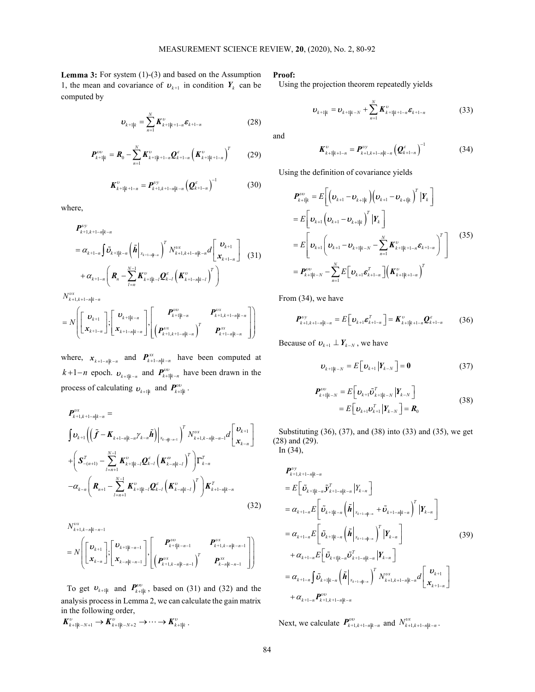Lemma 3: For system (1)-(3) and based on the Assumption 1, the mean and covariance of  $\boldsymbol{v}_{k+1}$  in condition  $\boldsymbol{Y}_k$  can be computed by MEASUREMENT SCIENCE REVIEW, 20, (2020), No. 2, 80-92<br>
For system (1)-(3) and based on the Assumption **Proof:**<br>
and covariance of  $\mathbf{v}_{k+1}$  in condition  $Y_k$  can be Using the projection theorem repeatedly yields<br>  $\mathbf{v$ 

$$
v_{k+1|k} = \sum_{n=1}^{N} K_{k+1|k+1-n}^{v} \varepsilon_{k+1-n}
$$
 (28)

$$
\boldsymbol{P}_{k+1|k}^{\nu\upsilon} = \boldsymbol{R}_0 - \sum_{n=1}^{N} \boldsymbol{K}_{k+1|k+1-n}^{\nu} \boldsymbol{Q}_{k+1-n}^{\varepsilon} \left( \boldsymbol{K}_{k+1|k+1-n}^{\nu} \right)^{T} \qquad (29)
$$

$$
\boldsymbol{K}_{k+1|k+1-n}^{\nu} = \boldsymbol{P}_{k+1,k+1-n|k-n}^{\nu y} \left(\boldsymbol{Q}_{k+1-n}^{\varepsilon}\right)^{-1} \tag{30}
$$

where,

$$
\begin{split} & \mathbf{P}_{k+1,k+1-n|k-n}^{vy} \\ & = \alpha_{k+1-n} \int \tilde{\mathbf{U}}_{k+1|k-n} \left( \tilde{\boldsymbol{h}} \, \bigg|_{x_{k+1-n|k-n}} \right)^T N_{k+1,k+1-n|k-n}^{vx} d \left[ \begin{array}{c} \mathbf{U}_{k+1} \\ \mathbf{x}_{k+1} \end{array} \right] \\ & + \alpha_{k+1-n} \left( \mathbf{R}_n - \sum_{l=n}^{N-1} \mathbf{K}_{k+1|k-l}^{vy} \mathbf{Q}_{k-l}^{c} \left( \mathbf{K}_{k+1-n|k-l}^{vy} \right)^T \right) \end{split} \tag{31}
$$

 $N_{k+1,k+1-n|k-n}^{vx}$ 

$$
=N\left(\begin{bmatrix} \bm{v}_{k+1} \\ \bm{x}_{k+1-n} \end{bmatrix}; \begin{bmatrix} \bm{v}_{k+1|k-n} \\ \bm{x}_{k+1-n|k-n} \end{bmatrix}, \begin{bmatrix} \bm{P}_{k+1|k-n}^{vv} & \bm{P}_{k+1,k+1-n|k-n}^{vx} \\ \left(\bm{P}_{k+1,k+1-n|k-n}^{vx}\right)^T & \bm{P}_{k+1-n|k-n}^{xx} \end{bmatrix}\right)
$$

where,  $x_{k+1-n|k-n}$  and  $P_{k+1-n|k-n}^{xx}$  have been computed at  $k+1-n$  epoch.  $v_{k+1|k-n}$  and  $P_{k+1|k-n}^{vw}$  have been drawn in the process of calculating  $v_{k+1|k}$  and  $P_{k+1|k}^{vw}$ .

here,  
\n
$$
P_{k+1,k+1-n|k-n}^{(2)}
$$
\n
$$
= \alpha_{k+1-n} \left[ \vec{b}_{k+1|k-n} \left( \vec{h} \Big|_{x_{k+1}+x_{k+1}} \right)^{T} N_{k+1,k+1-n|k-n}^{(2)} d \left[ \vec{b}_{k+1} \Big|_{x_{k+1}-n} \right]^{T} N_{k+1,k+1-n|k-n}^{(2)} d \left[ \vec{b}_{k+1} \Big|_{x_{k+1}-n} \right]^{T} \right]
$$
\n
$$
+ \alpha_{k+1-n} \left[ \vec{R}_{n} - \sum_{i=n}^{N-1} \vec{K}_{k+1|k-i}^{(2)} \vec{C}_{k-i} \left( \vec{K}_{k+1-n|k-i}^{(2)} \right)^{T} \right]
$$
\n
$$
+ \alpha_{k+1-n} \left[ \vec{R}_{n} - \sum_{i=n}^{N-1} \vec{K}_{k+1|k-i}^{(2)} \vec{C}_{k-i} \left( \vec{K}_{k+1-n|k-i}^{(2)} \right)^{T} \right]
$$
\n
$$
= P_{k+1|k-n}^{(2)} - \sum_{n=1}^{N} E \left[ \vec{b}_{k+1} \vec{c}_{k+1-n} \right] \left[ \vec{K}_{k+1|k+1-n}^{(2)} \right]
$$
\nFrom (34), we have  
\n
$$
N \left[ \begin{bmatrix} \vec{b}_{k+1} \\ x_{k+1-n} \end{bmatrix} ; \begin{bmatrix} \vec{b}_{k+1|k-n} \\ \vec{b}_{k+1|k-n} \end{bmatrix} \right] \left[ \begin{bmatrix} P_{k+1|k-n}^{(2)} & P_{k+1|k-1-n}^{(2)} \\ \frac{P_{k+1|k-n}^{(2)}}{P_{k+1|k-n}^{(2)}} \right] \right]
$$
\nBecause of  $\vec{b}_{k+1} \perp \vec{F}_{k-1} \geq E \left[ \vec{b}_{k+1} \vec{F}_{k+1-n} \right] = \vec{K}_{k+1|k+1-n}^{(2)} \vec{C}_{k+1-n}^{(2)} - \vec{K}_{k+1}^{(2)} \vec{C}_{k+1}^{(2)} - \vec{K}_{k+1}^{(2)} \vec{C}_{$ 

$$
N_{k+1,k-n|k-n-1}^{vx}
$$
\n
$$
= N \left[ \begin{bmatrix} \mathbf{v}_{k+1} \\ \mathbf{x}_{k-n} \end{bmatrix}; \begin{bmatrix} \mathbf{v}_{k+1|k-n-1} \\ \mathbf{x}_{k-n|k-n-1} \end{bmatrix}, \begin{bmatrix} \mathbf{P}_{k+1|k-n-1}^{vv} & \mathbf{P}_{k+1,k-n|k-n-1}^{vx} \\ \begin{bmatrix} \mathbf{P}_{k+1,k-n|k-n-1}^{vx} \end{bmatrix} \end{bmatrix} \right]
$$

To get  $\boldsymbol{v}_{k+1|k}$  and  $\boldsymbol{P}_{k+1|k}^{vw}$ , based on (31) and (32) and the analysis process in Lemma 2, we can calculate the gain matrix in the following order,

$$
\boldsymbol{K}^{\upsilon}_{k+1|k-N+1} \to \boldsymbol{K}^{\upsilon}_{k+1|k-N+2} \to \cdots \to \boldsymbol{K}^{\upsilon}_{k+1|k}.
$$

Proof:

Using the projection theorem repeatedly yields

$$
\boldsymbol{v}_{k+1|k} = \boldsymbol{v}_{k+1|k-N} + \sum_{n=1}^{N} \boldsymbol{K}_{k+1|k+1-n}^{\nu} \boldsymbol{\varepsilon}_{k+1-n}
$$
(33)

and

$$
\boldsymbol{K}_{k+1|k+1-n}^{\nu} = \boldsymbol{P}_{k+1,k+1-n|k-n}^{\nu y} \left( \boldsymbol{Q}_{k+1-n}^{\varepsilon} \right)^{-1} \tag{34}
$$

Using the definition of covariance yields

MEASUREMENT SCIENCE REVIEW, 20, (2020), No. 2, 80-92  
\n3) and based on the Assumption  
\nof 
$$
\mathbf{v}_{k+1}
$$
 in condition  $Y_k$  can be  
\n
$$
\mathbf{v}_{k+1|k} = \mathbf{v}_{k+1|k+N} + \sum_{n=1}^{N} \mathbf{K}_{k+1|k+1-n}^{\nu} \mathbf{g}_{k+1-n}
$$
\n(33)  
\nand  
\n
$$
\mathbf{w}_{k+1|k} = \mathbf{v}_{k+1|k+N} + \sum_{n=1}^{N} \mathbf{K}_{k+1|k+1-n}^{\nu} \mathbf{g}_{k+1-n}
$$
\n(34)  
\nand  
\n
$$
\mathbf{w}_{k+1|k+1-n} \mathbf{g}_{k+1-n}
$$
\n(35)  
\nand  
\n
$$
\mathbf{w}_{k+1|k+n} \mathbf{g}_{k+1-n} + \sum_{n=1}^{N} \mathbf{g}_{k+1|k+1-n} \mathbf{g}_{k+1-n} \mathbf{g}_{k+1-n}
$$
\n(37)  
\n
$$
\mathbf{g}_{k+1|k-n} \mathbf{g}_{k+1-n} \mathbf{g}_{k} \mathbf{g}_{k+1-n}
$$
\n(38)  
\n
$$
\mathbf{g}_{k+1|k}^{\nu} = E\left[ (\mathbf{v}_{k+1} - \mathbf{v}_{k+1|k}) (\mathbf{v}_{k+1} - \mathbf{v}_{k+1|k})^T |\mathbf{Y}_k \right]
$$
\n
$$
= E\left[ \mathbf{v}_{k+1} (\mathbf{v}_{k+1} - \mathbf{v}_{k+1|k})^T |\mathbf{Y}_k \right]
$$
\n
$$
= E\left[ \mathbf{v}_{k+1} (\mathbf{v}_{k+1} - \mathbf{v}_{k+1|k})^T |\mathbf{Y}_k \right]
$$
\n
$$
= \mathbf{g}_{k+1}^{\nu} (\mathbf{v}_{k+1} - \mathbf{v}_{k+1|k})^T \mathbf{g}_{k+1-n} \mathbf{g}_{k+1-n} \mathbf{g}_{k+1-n} \mathbf{g}_{k+1-n} \mathbf{g}_{k+1-n} \mathbf{g}_{k+1-n} \mathbf{g}_{k+1-n} \
$$

From (34), we have

$$
\boldsymbol{P}_{k+1,k+1-n|k-n}^{\nu} = E\big[\boldsymbol{v}_{k+1}\boldsymbol{\varepsilon}_{k+1-n}^T\big] = \boldsymbol{K}_{k+1|k+1-n}^{\nu} \boldsymbol{Q}_{k+1-n}^{\varepsilon} \qquad (36)
$$

Because of  $\boldsymbol{v}_{k+1} \perp \boldsymbol{Y}_{k-N}$ , we have

$$
\boldsymbol{\nu}_{k+1|k-N} = E\Big[\boldsymbol{\nu}_{k+1} \big| Y_{k-N} \Big] = \mathbf{0} \tag{37}
$$

$$
\boldsymbol{P}_{k+1|k-N}^{\nu\nu} = E\big[\boldsymbol{v}_{k+1}\tilde{\boldsymbol{v}}_{k+1|k-N}^T \,|\boldsymbol{Y}_{k-N}\big]
$$
\n
$$
= E\big[\boldsymbol{v}_{k+1}\boldsymbol{v}_{k+1}^T \,|\boldsymbol{Y}_{k-N}\big] = \boldsymbol{R}_0
$$
\n(38)

Substituting (36), (37), and (38) into (33) and (35), we get (28) and (29). In (34),

$$
P_{k+1}(\mathbf{X}_{k+1-n}) = P_{k+1}(\mathbf{X}_{k+1-n}^{\text{per}} - \sum_{n=1}^{N} E[\mathbf{D}_{k+1}\mathbf{e}_{k+1-n}] \left(\mathbf{K}_{k+1-n}^{\text{per}}\right)^{T}
$$
  
\nFrom (34), we have  
\n
$$
P_{k+1|k-n}^{\text{per}} - P_{k+1,k-n|k-n}^{\text{per}} \left(\mathbf{K}_{k+1-n|k-n}^{\text{per}}\right)^{T}
$$
  
\nFrom (34), we have  
\n
$$
P_{k+1,k-1-n|k-n}^{\text{per}} - \sum_{n=1}^{N} E[\mathbf{D}_{k+1}\mathbf{e}_{k+1-n}] = K_{k+1}^{\text{per}} - \sum_{n=1}^{N} K_{k+1|k+1-n}^{\text{per}} \mathbf{e}_{k+1-n}^{\text{per}} \mathbf{e}_{k+1-n}^{\text{per}} \mathbf{e}_{k+1-n}^{\text{per}} \mathbf{e}_{k+1-n}^{\text{per}} \mathbf{e}_{k+1-n}^{\text{per}} \mathbf{e}_{k+1-n}^{\text{per}} \mathbf{e}_{k+1-n}^{\text{per}} \mathbf{e}_{k+1-n}^{\text{per}} \mathbf{e}_{k+1-n}^{\text{per}} \mathbf{e}_{k+1-n}^{\text{per}} \mathbf{e}_{k+1-n}^{\text{per}} \mathbf{e}_{k+1-n}^{\text{per}} \mathbf{e}_{k+1-n}^{\text{per}} \mathbf{e}_{k+1-n}^{\text{per}} \mathbf{e}_{k+1-n}^{\text{per}} \mathbf{e}_{k+1-n}^{\text{per}} \mathbf{e}_{k+1-n}^{\text{per}} \mathbf{e}_{k+1-n}^{\text{per}} \mathbf{e}_{k+1-n}^{\text{per}} \mathbf{e}_{k+1-n}^{\text{per}} \mathbf{e}_{k+1-n}^{\text{per}} \mathbf{e}_{k+1-n}^{\text{per}} \mathbf{e}_{k+1-n}^{\text{per}} \mathbf{e}_{k+1-n}^{\text{per}} \mathbf{e}_{k+1-n}^{\text{per}} \mathbf{e}_{k+1-n}^{\text{per}} \mathbf{e}_{k+1-n}^{\text{per}} \mathbf{e}_{k
$$

Next, we calculate  $P_{k+1,k+1-n|k-n}^{vw}$  and  $N_{k+1,k+1-n|k-n}^{vw}$ .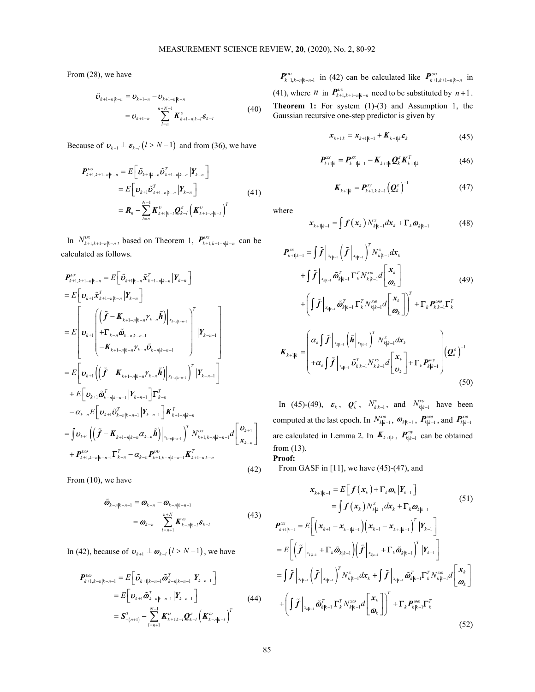From (28), we have

$$
\tilde{\boldsymbol{\nu}}_{k+1-n|k-n} = \boldsymbol{\nu}_{k+1-n} - \boldsymbol{\nu}_{k+1-n|k-n} \n= \boldsymbol{\nu}_{k+1-n} - \sum_{l=n}^{n+N-1} \boldsymbol{K}_{k+1-n|k-l}^{\nu} \boldsymbol{\varepsilon}_{k-l}
$$
\n(40)

Because of  $\boldsymbol{v}_{k+1} \perp \boldsymbol{\varepsilon}_{k-l}$   $(l > N-1)$  and from (36), we have

$$
\begin{split} \boldsymbol{P}_{k+1,k+1-n|k-n}^{\nu\upsilon} &= E\Big[\tilde{\boldsymbol{v}}_{k+1|k-n}\tilde{\boldsymbol{v}}_{k+1-n|k-n}^T \, \Big| \boldsymbol{Y}_{k-n} \Big] \\ &= E\Big[\boldsymbol{v}_{k+1}\tilde{\boldsymbol{v}}_{k+1-n|k-n}^T \, \Big|\boldsymbol{Y}_{k-n} \Big] \\ &= \boldsymbol{R}_n - \sum_{l=n}^{N-1} \boldsymbol{K}_{k+1|k-l}^{\nu} \boldsymbol{Q}_{k-l}^{\varepsilon} \left(\boldsymbol{K}_{k+1-n|k-l}^{\nu}\right)^T \end{split} \tag{41}
$$

In  $N_{k+1,k+1-n|k-n}^{vx}$ , based on Theorem 1,  $P_{k+1,k+1-n|k-n}^{vx}$  can be calculated as follows.

Because of 
$$
\mathbf{v}_{k+1} \perp \mathbf{z}_{k-1} (t > N-1)
$$
 and from (36), we have  
\n
$$
P_{k+1,k+1-n|k-n}^{\infty} = E\left[\mathbf{v}_{k+1}\bar{\mathbf{v}}_{k-1-n|k-n}\right] \mathbf{V}_{k-n}\right]
$$
\n
$$
= E\left[\mathbf{v}_{k+1}\bar{\mathbf{v}}_{k-1-n|k-n}\right] \mathbf{V}_{k-n}\left[\mathbf{v}_{k+1}\right]
$$
\n
$$
= \mathbf{R}_{n} - \sum_{l=n}^{N-1} \mathbf{K}_{k+1|k-l}^{\infty} \mathbf{Q}_{k-l}^{\infty} \left(\mathbf{K}_{k+1-n|k-n}^{\infty}\right)^{T}
$$
\nwhere  
\nalculated as follows.  
\n
$$
P_{k+1|k-1}^{\infty} = \int \mathbf{f}(\mathbf{x}_{k}) N_{k|k-1}^{\infty} d\mathbf{x}_{k} + \mathbf{F}_{k} \mathbf{\omega}_{k|k-1}
$$
\n
$$
= \int \mathbf{f}(\mathbf{x}_{k}) N_{k|k-1}^{\infty} d\mathbf{x}_{k} + \mathbf{F}_{k} \mathbf{\omega}_{k|k-1}
$$
\n
$$
= \int \mathbf{F}(\mathbf{x}_{k+1} \mathbf{x}_{k+1-n|k-n} + \mathbf{F}_{k} \mathbf{x}_{k-1} \mathbf{x}_{k-1} \mathbf{x}_{k-1} \mathbf{x}_{k-1} \mathbf{x}_{k-1} \mathbf{x}_{k-1} \mathbf{x}_{k-1} \mathbf{x}_{k-1} \mathbf{x}_{k-1} \mathbf{x}_{k-1} \mathbf{x}_{k-1} \mathbf{x}_{k-1} \mathbf{x}_{k-1} \mathbf{x}_{k-1} \mathbf{x}_{k-1} \mathbf{x}_{k-1} \mathbf{x}_{k-1} \mathbf{x}_{k-1} \mathbf{x}_{k-1} \mathbf{x}_{k-1} \mathbf{x}_{k-1} \mathbf{x}_{k-1} \mathbf{x}_{k-1} \mathbf{x}_{k-1} \mathbf{x}_{k-1} \mathbf{x}_{k-1} \mathbf{x}_{k-1} \mathbf{x}_{k-1} \mathbf{x}_{k-1} \mathbf{x}_{k-1} \mathbf{x}_{k-1} \mathbf{x}_{k-1} \math
$$

From (10), we have

$$
\tilde{\boldsymbol{\omega}}_{k-n|k-n-1} = \boldsymbol{\omega}_{k-n} - \boldsymbol{\omega}_{k-n|k-n-1}
$$
\n
$$
= \boldsymbol{\omega}_{k-n} - \sum_{l=n+1}^{n+N} \boldsymbol{K}_{k-n|k-l}^{\omega} \boldsymbol{\varepsilon}_{k-l}
$$
\n(43)

In (42), because of  $\boldsymbol{v}_{k+1} \perp \boldsymbol{\omega}_{k-l}$   $(l > N-1)$ , we have

$$
\begin{split} \boldsymbol{P}_{k+1,k-n|k-n-1}^{\omega\omega} &= E\bigg[\tilde{\boldsymbol{U}}_{k+1|k-n-1}\tilde{\boldsymbol{\varpi}}_{k-n|k-n-1}^T \big| \boldsymbol{Y}_{k-n-1}\bigg] \\ &= E\bigg[\boldsymbol{U}_{k+1}\tilde{\boldsymbol{\varpi}}_{k-n|k-n-1}^T \big| \boldsymbol{Y}_{k-n-1}\bigg] \\ &= \boldsymbol{S}_{-(n+1)}^T - \sum_{l=n+1}^{N-1} \boldsymbol{K}_{k+1|k-l}^{\omega} \boldsymbol{Q}_{k-l}^c \left(\boldsymbol{K}_{k-n|k-l}^{\omega}\right)^T \end{split} \tag{44}
$$

REMENT SCIENCE REVIEW, 20, (2020), No. 2, 80-92<br>  $P_{k+1,k-n|k-n1}^{(n)}$  in (42) can be calculated like  $P_{k+1,k-1}^{(n)}$  in<br>
(41), where *n* in  $P_{k+1,k-1-k}^{(n)}$  and the substituted by *n* + 1.<br>
(40) **Theorem 1:** For system (1)- $\bm{P}_{k+1,k-n|k-n-1}^{w}$  in (42) can be calculated like  $\bm{P}_{k+1,k+1-n|k-n}^{w}$  in (41), where *n* in  $P_{k+1,k+1-n|k-n}^{w}$  need to be substituted by *n*+1. **Theorem 1:** For system  $(1)-(3)$  and Assumption 1, the Gaussian recursive one-step predictor is given by

$$
\boldsymbol{x}_{k+1|k} = \boldsymbol{x}_{k+1|k-1} + \boldsymbol{K}_{k+1|k} \boldsymbol{\varepsilon}_k \tag{45}
$$

$$
\boldsymbol{P}_{k+1|k}^{\text{xx}} = \boldsymbol{P}_{k+1|k-1}^{\text{xx}} - \boldsymbol{K}_{k+1|k} \boldsymbol{Q}_k^{\text{x}} \boldsymbol{K}_{k+1|k}^T
$$
(46)

$$
\boldsymbol{K}_{k+1|k} = \boldsymbol{P}_{k+1,k|k-1}^{\text{xy}} \left(\boldsymbol{Q}_{k}^{\varepsilon}\right)^{-1} \tag{47}
$$

where

$$
\boldsymbol{x}_{k+1|k-1} = \int \boldsymbol{f}(\boldsymbol{x}_k) N_{k|k-1}^x d\boldsymbol{x}_k + \boldsymbol{\Gamma}_k \boldsymbol{\omega}_{k|k-1}
$$
(48)

$$
\begin{aligned}\n\hat{i}_{z \to p|n-x} &= D_{k+1-n} - D_{k+1-p|n-x} \\
&= D_{k+1-n} - D_{k+1-n|n-x} \\
&= D_{k+1-n} - D_{k+1-n|n-x} \\
&= D_{k+1-n} - \sum_{i=n}^{n} K_{k+1-i}^{\vee} K_{k+1-i} \\
&= D_{k+1-n} - \sum_{i=n}^{n} K_{k+1-i}^{\vee} K_{k+1-i} \\
&= D_{k+1} - \sum_{i=n}^{n} K_{k+1-i}^{\vee} K_{k+1-i} \\
&= E\left[D_{k+1} - \sum_{i=n}^{n} F_{k+1-i}^{\vee} K_{k+1-i} \right] \\
&= E\left[D_{k+1-i} \sum_{i=n}^{n} F_{k+1-i}^{\vee} K_{k+1-i} \right] \\
&= E\left[D_{k+1-i} \sum_{i=n}^{n} F_{k+1-i}^{\vee} K_{k-i} \right] \\
&= E\left[D_{k+1-i} \sum_{i=n}^{n} F_{k+1-i}^{\vee} K_{k-i} \right] \\
&= E\left[D_{k+1-i} \sum_{i=n}^{n} F_{k-i} \sum_{i=n}^{n} F_{k-i} \right] \\
&= E\left[D_{k+1-i} \sum_{i=n}^{n} F_{k-i} \sum_{i=n}^{n} F_{k-i} \right] \\
&= E\left[D_{k+1-i} \sum_{i=n}^{n} F_{k-i} \sum_{i=n}^{n} F_{k-i} \right] \\
&= E\left[D_{k+1-i} \sum_{i=n}^{n} F_{k-i} \sum_{i=n}^{n} F_{k-i} \right] \\
&= E\left[D_{k+1-i} \sum_{i=n}^{n} F_{k-i} \sum_{i=n}^{n} F_{k-i} \right] \\
&= E\left[D_{k+1-i} \sum_{i=n}^{n} F_{k-i} \sum_{i=n}^{n} F_{k-i} \right] \\
&= E\left[D_{k+1-i} \sum_{i=n}^{n} F_{k-i} \sum_{i=n}^{n} F_{k-i} \right] \\
&= E\left[D_{k+1-i} \sum_{i=n}^{n} F_{k-i} \sum_{i=n}^{n} F_{k-i} \right] \\
&= \left[D\left[D\left|\sum_{i=n}^{n}
$$

In (45)-(49),  $\varepsilon_k$ ,  $\mathbf{Q}_k^{\varepsilon}$ ,  $N_{k|k-1}^x$ , and  $N_{k|k-1}^{x_0}$  have been computed at the last epoch. In  $N_{k|k-1}^{x\omega}$  ,  $\bm{\varpi}_{k|k-1}$  ,  $\bm{P}_{k|k-1}^{\omega\omega}$  , and  $\bm{P}_{k|k-1}^{x\omega}$ are calculated in Lemma 2. In  $K_{k+1|k}$ ,  $P_{k|k-1}^{ay}$  can be obtained from (13). Proof:

From GASF in [11], we have (45)-(47), and

$$
\begin{aligned}\n&\left| \mathbf{Y}_{k-n-1} \right] \mathbf{I}_{k-n}^{T} \mathbf{I}_{k-n-1}^{T} \mathbf{J}_{k+1-n|k-n}^{T} & \text{In (45)-(49), } \mathcal{E}_{k}, \mathbf{Q}_{k}^{\varepsilon}, \mathbf{N}_{k|k-1}^{\varepsilon}, \text{ and } \mathbf{N}_{k|k-1}^{\text{no}} \text{ have been} \\
&\left| \mathbf{X}_{k-n} \mathbf{A}_{k-n} \mathbf{I}_{k} \right| \mathbf{X}_{k-1} \mathbf{A}_{k-1} \mathbf{A}_{k-1} \mathbf{A}_{k-1} \mathbf{A}_{k-1} \mathbf{A}_{k-1} \mathbf{A}_{k-1} \mathbf{A}_{k-1} \mathbf{A}_{k-1} \mathbf{A}_{k-1} \mathbf{A}_{k-1} \mathbf{A}_{k-1} \mathbf{A}_{k-1} \mathbf{A}_{k-1} \mathbf{A}_{k-1} \mathbf{A}_{k-1} \mathbf{A}_{k-1} \mathbf{A}_{k-1} \mathbf{A}_{k-1} \mathbf{A}_{k-1} \mathbf{A}_{k-1} \mathbf{A}_{k-1} \mathbf{A}_{k-1} \mathbf{A}_{k-1} \mathbf{A}_{k-1} \mathbf{A}_{k-1} \mathbf{A}_{k-1} \mathbf{A}_{k-1} \mathbf{A}_{k-1} \mathbf{A}_{k-1} \mathbf{A}_{k-1} \mathbf{A}_{k-1} \mathbf{A}_{k-1} \mathbf{A}_{k-1} \mathbf{A}_{k-1} \mathbf{A}_{k-1} \mathbf{A}_{k-1} \mathbf{A}_{k-1} \mathbf{A}_{k-1} \mathbf{A}_{k-1} \mathbf{A}_{k-1} \mathbf{A}_{k-1} \mathbf{A}_{k-1} \mathbf{A}_{k-1} \mathbf{A}_{k-1} \mathbf{A}_{k-1} \mathbf{A}_{k-1} \mathbf{A}_{k-1} \mathbf{A}_{k-1} \mathbf{A}_{k-1} \mathbf{A}_{k-1} \mathbf{A}_{k-1} \mathbf{A}_{k-1} \mathbf{A}_{k-1} \mathbf{A}_{k-1} \mathbf{A}_{k-1} \mathbf{A}_{k-1} \mathbf{A}_{k
$$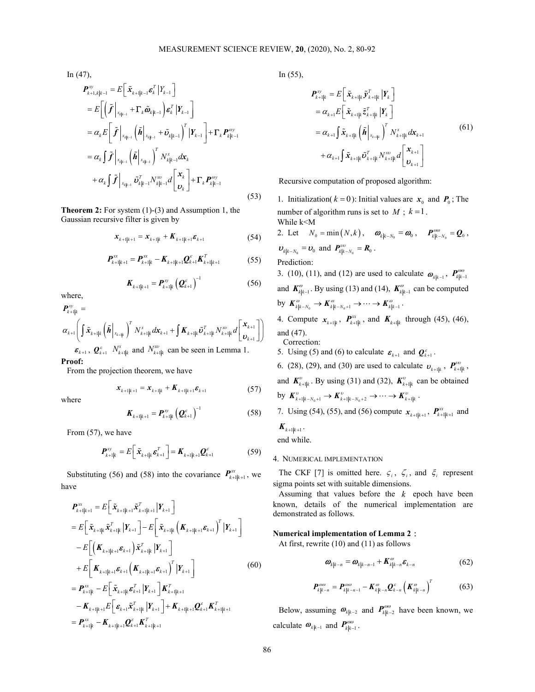In (47),

$$
\begin{split}\n\boldsymbol{P}_{k+1,k|k-1}^{\text{xy}} &= E\bigg[\tilde{\boldsymbol{x}}_{k+1|k-1} \boldsymbol{\varepsilon}_{k}^{T} | Y_{k-1} \bigg] \\
&= E\bigg[\bigg(\tilde{\boldsymbol{f}} \bigg|_{x_{k|k-1}} + \boldsymbol{\Gamma}_{k} \tilde{\boldsymbol{\omega}}_{k|k-1}\bigg) \boldsymbol{\varepsilon}_{k}^{T} | \boldsymbol{Y}_{k-1} \bigg] \\
&= \alpha_{k} E\bigg[\tilde{\boldsymbol{f}} \bigg|_{x_{k|k-1}} \bigg(\tilde{\boldsymbol{h}} \bigg|_{x_{k|k-1}} + \tilde{\boldsymbol{\omega}}_{k|k-1}\bigg)^{T} | \boldsymbol{Y}_{k-1} \bigg] + \boldsymbol{\Gamma}_{k} \boldsymbol{P}_{k|k-1}^{\text{ov}} \\
&= \alpha_{k} \int \tilde{\boldsymbol{f}} \bigg|_{x_{k|k-1}} \bigg(\tilde{\boldsymbol{h}} \bigg|_{x_{k|k-1}} \bigg)^{T} N_{k|k-1}^{x_{k}} dx_{k} \\
&+ \alpha_{k} \int \tilde{\boldsymbol{f}} \bigg|_{x_{k|k-1}} \tilde{\boldsymbol{v}}_{k|k-1}^{T} N_{k|k-1}^{x_{k}} d\bigg[\boldsymbol{X}_{k}^{T}\bigg] + \boldsymbol{\Gamma}_{k} \boldsymbol{P}_{k|k-1}^{\text{ov}}\n\end{split} \tag{53}
$$

Theorem 2: For system (1)-(3) and Assumption 1, the Gaussian recursive filter is given by

$$
\mathbf{x}_{k+1|k+1} = \mathbf{x}_{k+1|k} + \mathbf{K}_{k+1|k+1} \mathbf{\varepsilon}_{k+1}
$$
 (54)

$$
\boldsymbol{P}_{k+1|k+1}^{\text{xx}} = \boldsymbol{P}_{k+1|k}^{\text{xx}} - \boldsymbol{K}_{k+1|k+1} \boldsymbol{Q}_{k+1}^{\varepsilon} \boldsymbol{K}_{k+1|k+1}^T
$$
(55)

$$
\boldsymbol{K}_{k+1|k+1} = \boldsymbol{P}_{k+1|k}^{\mathrm{xy}} \left( \boldsymbol{Q}_{k+1}^{\varepsilon} \right)^{-1} \tag{56}
$$

where,

$$
\begin{aligned}\n\boldsymbol{P}_{k+1|k}^{\text{xy}} &= \\
\alpha_{k+1} \left( \int \tilde{\boldsymbol{x}}_{k+1|k} \left( \tilde{\boldsymbol{h}} \, \bigg|_{\boldsymbol{x}_{k+1|k}} \right)^T N_{k+1|k}^x d\boldsymbol{x}_{k+1} + \int \boldsymbol{K}_{k+1|k} \tilde{\boldsymbol{v}}_{k+1|k}^T N_{k+1|k}^{\text{xy}} d \left[ \boldsymbol{x}_{k+1} \, \bigg| \right] \right) \\
& \boldsymbol{\varepsilon}_{k+1}, \ \boldsymbol{Q}_{k+1}^c \ N_{k+1|k}^{\text{xy}} \ \text{and} \ N_{k+1|k}^{\text{xy}} \ \text{can be seen in Lemma 1.}\n\end{aligned}
$$

Proof:

From the projection theorem, we have

$$
\mathbf{x}_{k+1|k+1} = \mathbf{x}_{k+1|k} + \mathbf{K}_{k+1|k+1} \mathbf{\varepsilon}_{k+1}
$$
 (57)

where

$$
\boldsymbol{K}_{k+1|k+1} = \boldsymbol{P}_{k+1|k}^{\text{xy}} \left( \boldsymbol{Q}_{k+1}^{\varepsilon} \right)^{-1} \tag{58}
$$

From (57), we have

$$
\boldsymbol{P}_{k+1|k}^{\text{xy}} = E\left[\tilde{\boldsymbol{x}}_{k+1|k} \boldsymbol{\varepsilon}_{k+1}^T\right] = \boldsymbol{K}_{k+1|k+1} \boldsymbol{Q}_{k+1}^{\varepsilon} \tag{59}
$$

Substituting (56) and (58) into the covariance  $P_{k+1|k+1}^{xx}$ , we have

$$
\begin{aligned}\n\mathbf{F}_{t+1} &= \int_{\mathbf{K}_{k+1}|\mathbf{k}_{k+1}} \tilde{\mathbf{A}} \tilde{\mathbf{A}} \tilde{\mathbf{A}} \tilde{\mathbf{A}} \tilde{\mathbf{A}} \tilde{\mathbf{A}} \tilde{\mathbf{A}} \tilde{\mathbf{A}} \tilde{\mathbf{A}} \tilde{\mathbf{A}} \tilde{\mathbf{A}} \tilde{\mathbf{A}} \tilde{\mathbf{A}} \tilde{\mathbf{A}} \tilde{\mathbf{A}} \tilde{\mathbf{A}} \tilde{\mathbf{A}} \tilde{\mathbf{A}} \tilde{\mathbf{A}} \tilde{\mathbf{A}} \tilde{\mathbf{A}} \tilde{\mathbf{A}} \tilde{\mathbf{A}} \tilde{\mathbf{A}} \tilde{\mathbf{A}} \tilde{\mathbf{A}} \tilde{\mathbf{A}} \tilde{\mathbf{A}} \tilde{\mathbf{A}} \tilde{\mathbf{A}} \tilde{\mathbf{A}} \tilde{\mathbf{A}} \tilde{\mathbf{A}} \tilde{\mathbf{A}} \tilde{\mathbf{A}} \tilde{\mathbf{A}} \tilde{\mathbf{A}} \tilde{\mathbf{A}} \tilde{\mathbf{A}} \tilde{\mathbf{A}} \tilde{\mathbf{A}} \tilde{\mathbf{A}} \tilde{\mathbf{A}} \tilde{\mathbf{A}} \tilde{\mathbf{A}} \tilde{\mathbf{A}} \tilde{\mathbf{A}} \tilde{\mathbf{A}} \tilde{\mathbf{A}} \tilde{\mathbf{A}} \tilde{\mathbf{A}} \tilde{\mathbf{A}} \tilde{\mathbf{A}} \tilde{\mathbf{A}} \tilde{\mathbf{A}} \tilde{\mathbf{A}} \tilde{\mathbf{A}} \tilde{\mathbf{A}} \tilde{\mathbf{A}} \tilde{\mathbf{A}} \tilde{\mathbf{A}} \tilde{\mathbf{A}} \tilde{\mathbf{A}} \tilde{\mathbf{A}} \tilde{\mathbf{A}} \tilde{\mathbf{A}} \tilde{\mathbf{A}} \tilde{\mathbf{A}} \tilde{\mathbf{A}} \tilde{\mathbf{A}} \tilde{\mathbf{A}} \tilde{\mathbf{A}} \tilde{\mathbf{A}} \tilde{\mathbf{A}} \tilde{\mathbf{A}} \tilde{\mathbf{A}} \tilde{\mathbf{A}} \tilde{\mathbf{A}} \tilde{\mathbf{A}} \tilde{\mathbf{
$$

In (55),

$$
\begin{split} \boldsymbol{P}_{k+1|k}^{\text{xy}} &= E\Big[\ \tilde{\boldsymbol{x}}_{k+1|k} \, \tilde{\boldsymbol{y}}_{k+1|k}^T \, \big| \boldsymbol{Y}_k \, \Big] \\ &= \alpha_{k+1} E\Big[\ \tilde{\boldsymbol{x}}_{k+1|k} \, \tilde{\boldsymbol{z}}_{k+1|k}^T \, \big| \boldsymbol{Y}_k \, \Big] \\ &= \alpha_{k+1} \int \tilde{\boldsymbol{x}}_{k+1|k} \left( \tilde{\boldsymbol{h}} \Big|_{\boldsymbol{x}_{k+1|k}} \right)^T N_{k+1|k}^{\text{x}} \, d\boldsymbol{x}_{k+1} \\ &+ \alpha_{k+1} \int \tilde{\boldsymbol{x}}_{k+1|k} \tilde{\boldsymbol{v}}_{k+1|k}^T N_{k+1|k}^{\text{xy}} \, d\Big[\ \boldsymbol{v}_{k+1} \Big] \end{split} \tag{61}
$$

Recursive computation of proposed algorithm:

1. Initialization( $k = 0$ ): Initial values are  $x_0$  and  $P_0$ ; The number of algorithm runs is set to  $M$ ;  $k=1$ . While k<M

2. Let 
$$
N_0 = \min(N, k)
$$
,  $\boldsymbol{\omega}_{k|k-N_0} = \boldsymbol{\omega}_0$ ,  $\boldsymbol{P}_{k|k-N_0}^{\omega\omega} = \boldsymbol{Q}_0$ ,   
 $\boldsymbol{\nu}_{k|k-N_0} = \boldsymbol{\nu}_0$  and  $\boldsymbol{P}_{k|k-N_0}^{\omega\omega} = \boldsymbol{R}_0$ .  
 Prediction:

3. (10), (11), and (12) are used to calculate  $\boldsymbol{\omega}_{k|k-1}$ ,  $\boldsymbol{P}_{k|k-1}^{\text{cov}}$ and  $K_{k|k-1}^{\omega}$ . By using (13) and (14),  $K_{k|k-1}^{\omega}$  can be computed by  $\boldsymbol{K}_{k|k-N_0}^{\omega} \to \boldsymbol{K}_{k|k-N_0+1}^{\omega} \to \cdots \to \boldsymbol{K}_{k|k-1}^{\omega}$ .

4. Compute  $x_{k+1,k}$ ,  $P_{k+1,k}^{\text{xx}}$ , and  $K_{k+1,k}$  through (45), (46), and (47).

Correction:

- 5. Using (5) and (6) to calculate  $\boldsymbol{\varepsilon}_{k+1}$  and  $\boldsymbol{Q}_{k+1}^{\varepsilon}$ .
- by  $K_{i_1\mu_1}^n$ ,  $\left[ K_{i_1\mu_1} B_{i_1\mu_1}^n \right]$  4. Compute  $x_{i_1\mu_1}$ ,  $P_{i_1\mu_1}^n$ , and  $K_{i_1\mu_1}$  through (45), (46),<br>  $\left[ K_{i_1\mu_1} B_{i_1\mu_1}^n \right]$  4. Compute  $x_{i_1\mu_1}$ ,  $P_{i_1\mu_1}^n$ , and  $K_{i_1\mu_1}$  thr 6. (28), (29), and (30) are used to calculate  $v_{k+1|k}$ ,  $P_{k+1|k}^{vw}$ , and  $K_{k+1|k}^{\nu}$ . By using (31) and (32),  $K_{k+1|k}^{\nu}$  can be obtained by  $\mathbf{K}_{k+1|k-N_0+1}^{\nu} \to \mathbf{K}_{k+1|k-N_0+2}^{\nu} \to \cdots \to \mathbf{K}_{k+1|k}^{\nu}$ . 7. Using (54), (55), and (56) compute  $x_{k+1|k+1}$ ,  $P_{k+1|k+1}^{\text{xx}}$  and

$$
\boldsymbol{K}_{k+1|k+1}.
$$

end while.

# 4. NUMERICAL IMPLEMENTATION

The CKF [7] is omitted here.  $\zeta_i$ ,  $\zeta_i$ , and  $\zeta_i$  represent sigma points set with suitable dimensions.

Assuming that values before the  $k$  epoch have been known, details of the numerical implementation are demonstrated as follows.

Numerical implementation of Lemma 2:

At first, rewrite (10) and (11) as follows

$$
\boldsymbol{\omega}_{k|k-n} = \boldsymbol{\omega}_{k|k-n-1} + \boldsymbol{K}_{k|k-n}^{\omega} \boldsymbol{\varepsilon}_{k-n}
$$
(62)

$$
\boldsymbol{P}_{k|k-n}^{\omega\omega} = \boldsymbol{P}_{k|k-n-1}^{\omega\omega} - \boldsymbol{K}_{k|k-n}^{\omega} \boldsymbol{Q}_{k-n}^{\varepsilon} \left( \boldsymbol{K}_{k|k-n}^{\omega} \right)^{T} \tag{63}
$$

Below, assuming  $\mathbf{\omega}_{k|k-2}$  and  $\mathbf{P}_{k|k-2}^{\omega\omega}$  have been known, we calculate  $\boldsymbol{\omega}_{k|k-1}$  and  $\boldsymbol{P}_{k|k-1}^{\omega\omega}$ .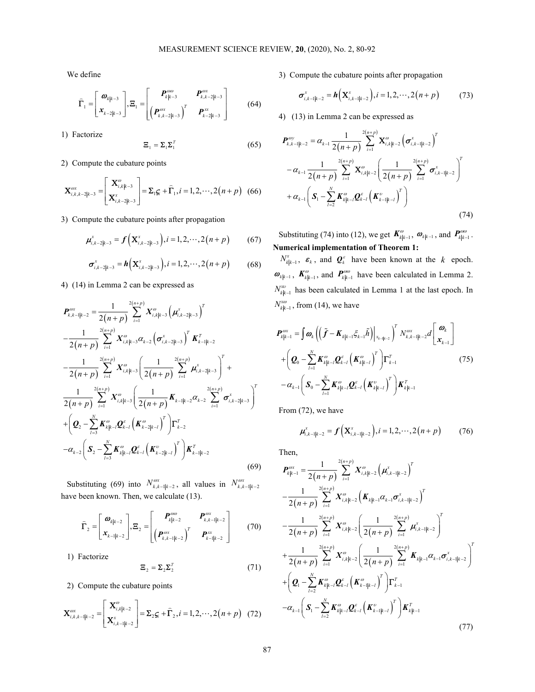We define

$$
\widehat{\boldsymbol{\Gamma}}_1 = \begin{bmatrix} \boldsymbol{\omega}_{k|k-3} \\ \boldsymbol{x}_{k-2|k-3} \end{bmatrix}, \boldsymbol{\Xi}_1 = \begin{bmatrix} \boldsymbol{P}_{k|k-3}^{\omega\omega} & \boldsymbol{P}_{k,k-2|k-3}^{\omega\omega} \\ \left(\boldsymbol{P}_{k,k-2|k-3}^{\omega\omega}\right)^T & \boldsymbol{P}_{k-2|k-3}^{\omega\omega} \end{bmatrix}
$$
(64)

1) Factorize

$$
\mathbf{\Xi}_1 = \mathbf{\Sigma}_1 \mathbf{\Sigma}_1^T \tag{65}
$$

2) Compute the cubature points

$$
\mathbf{X}^{\text{ox}}_{i,k,k-2|k-3} = \begin{bmatrix} \mathbf{X}^{\text{ox}}_{i,k|k-3} \\ \mathbf{X}^{\text{ox}}_{i,k-2|k-3} \end{bmatrix} = \mathbf{\Sigma}_{i} \mathbf{G}_{i} + \widehat{\mathbf{\Gamma}}_{1}, i = 1, 2, \cdots, 2(n+p) \quad (66)
$$

3) Compute the cubature points after propagation

$$
\boldsymbol{\mu}_{i,k-2|k-3}^{\mathrm{x}} = \boldsymbol{f}\left(\mathbf{X}_{i,k-2|k-3}^{\mathrm{x}}\right), i=1,2,\cdots,2(n+p) \qquad (67)
$$

$$
\boldsymbol{\sigma}_{i,k-2|k-3}^{\mathrm{x}} = \boldsymbol{h}\Big(\mathbf{X}_{i,k-2|k-3}^{\mathrm{x}}\Big), i=1,2,\cdots,2(n+p) \qquad (68)
$$

4) (14) in Lemma 2 can be expressed as

 2 , 1 2 , 3 , 2 3 1 2 , 3 , 2 3 1 2 2 1 2 2 , 3 , 2 3 1 1 2 2 , 3 1 2 , 2 3 2 1 1 1 2 1 2 1 1 2 2 1 1 2 2 n p <sup>T</sup> x x k k k i k k i k k i n p <sup>T</sup> x T i k k i k k k k k i T n p n p x i k k i k k i i n p n p x i k k k k i k k k i i n p n p n p n p n p n p P X X K X X K 2 2 2 3 2 2 2 1 2 3 T N T T k k l k k l k l k l N T T k k l k k l k k l k k l Q K Q K S K Q K K (69)

Substituting (69) into  $N_{k,k-1|k-2}^{\omega x}$ , all values in  $N_{k,k-1|k-2}^{\omega x}$ have been known. Then, we calculate (13).

$$
\widehat{\boldsymbol{\Gamma}}_2 = \begin{bmatrix} \boldsymbol{\varpi}_{k|k-2} \\ \boldsymbol{x}_{k-1|k-2} \end{bmatrix}, \boldsymbol{\Xi}_2 = \begin{bmatrix} \boldsymbol{P}_{k|k-2}^{\omega\omega} & \boldsymbol{P}_{k,k-1|k-2}^{\omega\mathbf{x}} \\ \left(\boldsymbol{P}_{k,k-1|k-2}^{\omega\mathbf{x}}\right)^T & \boldsymbol{P}_{k-1|k-2}^{\omega\mathbf{x}} \end{bmatrix} \tag{70}
$$

1) Factorize

$$
\mathbf{\Xi}_2 = \mathbf{\Sigma}_2 \mathbf{\Sigma}_2^T \tag{71}
$$

2) Compute the cubature points

$$
\mathbf{X}^{\text{cov}}_{i,k,k-1|k-2} = \begin{bmatrix} \mathbf{X}^{\text{cov}}_{i,k|k-2} \\ \mathbf{X}^{\text{x}}_{i,k-1|k-2} \end{bmatrix} = \mathbf{\Sigma}_2 \mathbf{G}_i + \hat{\mathbf{\Gamma}}_2, i = 1, 2, \cdots, 2(n+p) \quad (72)
$$

3) Compute the cubature points after propagation

$$
\boldsymbol{\sigma}_{i,k-1|k-2}^{x} = \boldsymbol{h}\left(\mathbf{X}_{i,k-1|k-2}^{x}\right), i = 1,2,\cdots,2(n+p) \tag{73}
$$

4) (13) in Lemma 2 can be expressed as

MEASUREMENT SCIENCE REVIEW, 20, (2020), No. 2, 80-92  
\nline  
\n
$$
\left[\begin{array}{c} \mathbf{a}_{ik-3} \\ \mathbf{r}_{k-3} \end{array}\right] \mathbf{E}_{1} = \left[\begin{array}{cc} P_{i_{1}i_{1}i_{2}}^{non} & P_{i_{1}i_{2}i_{3}j_{4}}^{non} \\ \left[\begin{array}{cc} \mathbf{a}_{i_{1}i_{2}j_{3}} & \mathbf{a}_{i_{1}i_{3}j_{4}} \end{array}\right] & (64) & \mathbf{\sigma}_{i_{1}i_{1}i_{2}j_{3}}^{m} = \mathbf{\hat{h}}\left(\mathbf{X}_{i_{1}i_{1}i_{1}j_{1}}^{m} \right), i=1,2,\cdots,2(n+p) \qquad (73)
$$
\n
$$
\mathbf{E}_{1} = \mathbf{\Sigma}_{1}\mathbf{\Sigma}_{i}^{T} & (65) & P_{i_{1}i_{1}i_{2}j_{3}}^{m} = \mathbf{a}_{i_{1}i_{2}j_{1}j_{1}}^{m} \mathbf{\Sigma}_{i_{1}i_{2}j_{1}}^{m} = \mathbf{\hat{h}}\left(\mathbf{X}_{i_{1}i_{1}j_{1}j_{1}}^{m} \right) & \mathbf{\hat{h}}^{T} \mathbf{X}_{i_{1}i_{1}i_{2}}^{m} = \mathbf{\hat{h}}\left(\mathbf{X}_{i_{1}i_{1}i_{1}j_{1}}^{m} \right)
$$
\n
$$
= \mathbf{\hat{h}}\left(\mathbf{X}_{i_{1}i_{1}i_{3}}^{m} \right) = \mathbf{\hat{h}}\left(\mathbf{X}_{i_{1}i_{1}i_{3}}^{m} \right) = \mathbf{\hat{h}}\left(\mathbf{X}_{i_{1}i_{1}i_{3}}^{m} \right) & (74) \qquad 0.5 \qquad 0.5 \qquad 0.5 \qquad 0.5 \qquad 0.5 \qquad 0.5 \qquad 0.5 \qquad 0.5 \qquad 0.5 \qquad 0.5 \qquad 0.5 \qquad 0.5 \qquad 0.5 \qquad 0.5 \qquad 0.5 \qquad 0.5 \qquad 0.5 \qquad 0.5 \qquad 0.5 \qquad 0.5 \qquad
$$

Substituting (74) into (12), we get  $K_{k|k-1}^{\omega}$ ,  $\boldsymbol{\omega}_{k|k-1}$ , and  $\boldsymbol{P}_{k|k-1}^{\omega\omega}$ . Numerical implementation of Theorem 1:

 $N_{k|k-1}^x$ ,  $\varepsilon_k$ , and  $\mathbf{Q}_k^{\varepsilon}$  have been known at the  $k$  epoch.  $\boldsymbol{\omega}_{k|k-1}$ ,  $\boldsymbol{K}_{k|k-1}^{\omega}$ , and  $\boldsymbol{P}_{k|k-1}^{\omega\omega}$  have been calculated in Lemma 2.  $N_{k|k-1}^{\mathcal{X}^{\mathcal{Y}}}$  has been calculated in Lemma 1 at the last epoch. In  $N_{k|k-1}^{x\omega}$ , from (14), we have

$$
= \sum_{k=1}^{n} \sum_{i}^{n} (65) \qquad \sum_{k,k=|k-2}^{n} \sum_{\omega_{k-1}}^{n} (65) \qquad \sum_{k,k=|k-2}^{n} \sum_{\omega_{k-1}}^{n} (65) \qquad \sum_{k,k=|k-2}^{n} \sum_{\omega_{k-1}}^{n} (65) \qquad \sum_{k,k=|k-2}^{n} \sum_{\omega_{k-1}}^{n} (65) \qquad \sum_{k,k=|k-2}^{n} \sum_{\omega_{k-1}}^{n} (65) \qquad \sum_{k,k=|k-2}^{n} \sum_{\omega_{k-1}}^{n} (65) \qquad \sum_{k,k=1}^{n} (65) \qquad \sum_{k,k=1}^{n} (65) \qquad \sum_{k,k=1}^{n} (65) \qquad \sum_{k,k=1}^{n} (65) \qquad \sum_{k,k=1}^{n} (65) \qquad \sum_{k,k=1}^{n} (65) \qquad \sum_{k,k=1}^{n} (65) \qquad \sum_{k,k=1}^{n} (65) \qquad \sum_{k,k=1}^{n} (65) \qquad \sum_{k,k=1}^{n} (65) \qquad \sum_{k,k=1}^{n} (65) \qquad \sum_{k,k=1}^{n} (65) \qquad \sum_{k,k=1}^{n} (65) \qquad \sum_{k,k=1}^{n} (65) \qquad \sum_{k,k=1}^{n} (65) \qquad \sum_{k,k=1}^{n} (65) \qquad \sum_{k,k=1}^{n} (65) \qquad \sum_{k,k=1}^{n} (65) \qquad \sum_{k,k=1}^{n} (65) \qquad \sum_{k,k=1}^{n} (65) \qquad \sum_{k,k=1}^{n} (65) \qquad \sum_{k,k=1}^{n} (65) \qquad \sum_{k,k=1}^{n} (65) \qquad \sum_{k,k=1}^{n} (65) \qquad \sum_{k,k=1}^{n} (65) \qquad \sum_{k,k=1}^{n} (65) \qquad \sum_{k,k=1}^{n} (65) \qquad \sum_{k,k=1}^{n} (65) \qquad \sum_{k,k=1}^{n} (65) \qquad \sum_{k,k=1
$$

From (72), we have

$$
\mu_{i,k-1|k-2}^{x} = f\left(\mathbf{X}_{i,k-1|k-2}^{x}\right), i=1,2,\cdots,2(n+p) \qquad (76)
$$

Then,

$$
=h\left(\mathbf{X}_{i,k-2|k-1}^{*}\right), i=1,2,\ldots,2(n+p) \qquad (68) \qquad N_{i|k-1}^{N_{i}}^{N_{i}} \qquad \mathbf{B}_{i}, \text{ and } \mathbf{Q}_{i}^{*} \text{ have been known at the } k \text{ epoch.}
$$
\na 2 can be expressed as\n
$$
N_{i|k-1}^{*} \text{ has been calculated in Lemma 2.}
$$
\na 2 can be expressed as\n
$$
N_{i|k-1}^{*} \text{ has been calculated in Lemma 1 at the last epoch. In}
$$
\n
$$
N_{i|k-1}^{*} \text{ has been calculated in Lemma 1 at the last epoch. In}
$$
\n
$$
N_{i|k-1}^{*} \text{ as } \mathbf{G}_{i,k-1}^{*} \text{ has the same calculated in Lemma 1 at the last epoch. In}
$$
\n
$$
N_{i|k-1}^{*} \text{ as } \mathbf{G}_{i,k-1}^{*} \text{ has the same calculated in Lemma 1 at the last epoch. In}
$$
\n
$$
N_{i|k-1}^{*} \text{ as } \mathbf{G}_{i,k-1}^{*} \text{ has the same calculated in } \mathbf{G}_{i,k-1}^{*} \text{ has the same calculated in } \mathbf{G}_{i,k-1}^{*} \text{ has the same calculated in } \mathbf{G}_{i,k-1}^{*} \text{ has the same calculated in } \mathbf{G}_{i,k-1}^{*} \text{ has the same calculated in } \mathbf{G}_{i,k-1}^{*} \text{ has the same calculated in } \mathbf{G}_{i,k-1}^{*} \text{ has the same calculated in } \mathbf{G}_{i,k-1}^{*} \text{ has the same calculated in } \mathbf{G}_{i,k-1}^{*} \text{ has the same calculated in } \mathbf{G}_{i,k-1}^{*} \text{ has the same calculated in } \mathbf{G}_{i,k-1}^{*} \text{ has the same calculated in } \mathbf{G}_{i,k-1}^{*} \text{ has the same calculated in } \mathbf{G}_{i,k-1}^{*} \text{ has the same calculated in } \mathbf{G}_{i,k-1}^{*} \text{ has the same calculated in } \mathbf{G}_{i,k-1}^{*} \text{ has the same calculated in } \mathbf{G}_{i,k-1}^{*} \text{ has the same calculated in } \mathbf{G}_{i,k-1}^{*} \text{ has the same calculated in } \
$$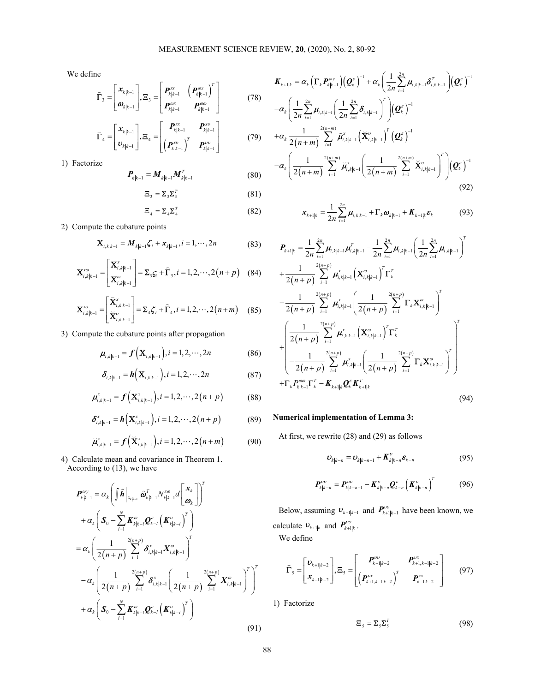We define

$$
\widehat{\boldsymbol{\Gamma}}_{3} = \begin{bmatrix} \boldsymbol{x}_{k|k-1} \\ \boldsymbol{\varpi}_{k|k-1} \end{bmatrix}, \boldsymbol{\Xi}_{3} = \begin{bmatrix} \boldsymbol{P}_{k|k-1}^{\mathrm{ex}} & \left( \boldsymbol{P}_{k|k-1}^{\mathrm{ex}} \right)^{T} \\ \boldsymbol{P}_{k|k-1}^{\mathrm{ex}} & \boldsymbol{P}_{k|k-1}^{\mathrm{ex}} \end{bmatrix} \tag{78}
$$

$$
\widehat{\boldsymbol{\Gamma}}_{4} = \begin{bmatrix} \boldsymbol{x}_{k|k-1} \\ \boldsymbol{v}_{k|k-1} \end{bmatrix}, \boldsymbol{\Xi}_{4} = \begin{bmatrix} \boldsymbol{P}_{k|k-1}^{xx} & \boldsymbol{P}_{k|k-1}^{xv} \\ \left(\boldsymbol{P}_{k|k-1}^{xv}\right)^{T} & \boldsymbol{P}_{k|k-1}^{vv} \end{bmatrix}
$$
(79)

1) Factorize

$$
\boldsymbol{P}_{k|k-1} = \boldsymbol{M}_{k|k-1} \boldsymbol{M}_{k|k-1}^T
$$
 (80)

$$
\mathbf{\Xi}_3 = \mathbf{\Sigma}_3 \mathbf{\Sigma}_3^T \tag{81}
$$

$$
\Xi_4 = \Sigma_4 \Sigma_4^T \tag{82}
$$

2) Compute the cubature points

$$
\mathbf{X}_{i,k|k-1} = \mathbf{M}_{k|k-1} \mathbf{C}_i + \mathbf{x}_{k|k-1}, i = 1, \cdots, 2n
$$
 (83)

$$
\mathbf{X}_{i,k|k-1}^{\text{X0}} = \begin{bmatrix} \mathbf{X}_{i,k|k-1}^{\text{x}} \\ \mathbf{X}_{i,k|k-1}^{\text{w}} \end{bmatrix} = \mathbf{\Sigma}_3 \mathbf{\zeta}_i + \widehat{\boldsymbol{\Gamma}}_3, i = 1, 2, \cdots, 2(n+p) \quad (84)
$$

$$
\mathbf{X}_{i,k|k-1}^{\mathcal{X}^{\mathcal{Y}}} = \begin{bmatrix} \widetilde{\mathbf{X}}_{i,k|k-1}^{\mathcal{X}} \\ \widetilde{\mathbf{X}}_{i,k|k-1}^{\mathcal{Y}} \end{bmatrix} = \mathbf{\Sigma}_{4} \boldsymbol{\zeta}_{i} + \widehat{\boldsymbol{\Gamma}}_{4}, i = 1, 2, \cdots, 2(n+m) \quad (85)
$$

3) Compute the cubature points after propagation

$$
\mu_{i,k|k-1} = f\Big(\mathbf{X}_{i,k|k-1}\Big), i = 1, 2, \cdots, 2n \tag{86}
$$

$$
\boldsymbol{\delta}_{i,k|k-1} = \boldsymbol{h}\left(\mathbf{X}_{i,k|k-1}\right), i = 1, 2, \cdots, 2n \tag{87}
$$

$$
\mu_{i,k|k-1}^* = f\left(\mathbf{X}_{i,k|k-1}^*\right), i = 1, 2, \cdots, 2(n+p) \tag{88}
$$

$$
\delta_{i,k|k-1}^x = h\Big(\mathbf{X}_{i,k|k-1}^x\Big), i = 1, 2, \cdots, 2(n+p) \tag{89}
$$

$$
\breve{\mu}_{i,k|k-1}^{x} = f\left(\breve{\mathbf{X}}_{i,k|k-1}^{x}\right), i = 1, 2, \cdots, 2(n+m) \tag{90}
$$

4) Calculate mean and covariance in Theorem 1. According to (13), we have

$$
\mathbf{X}_{i,k_{k-1}}^{m} = \begin{bmatrix} \overline{\mathbf{x}}_{i,k_{k-1}}^{n} \end{bmatrix} = \mathbf{Z}_{k}^{T} \mathbf{f}_{k,k_{k-1}}^{n} = \mathbf{Z}_{k}^{T} \mathbf{f}_{k,k_{k-1}}^{T} = \mathbf{Z}_{k}^{T} \mathbf{f}_{k,k_{k-1}}^{T} = \mathbf{Z}_{k}^{T} \mathbf{f}_{k,k_{k-1}}^{T} = \mathbf{Z}_{k}^{T} \mathbf{f}_{k,k_{k-1}}^{T} = \mathbf{Z}_{k}^{T} \mathbf{f}_{k,k_{k-1}}^{T} = \mathbf{Z}_{k}^{T} \mathbf{f}_{k,k_{k-1}}^{T} = \mathbf{Z}_{k}^{T} \mathbf{f}_{k,k_{k-1}}^{T} = \mathbf{Z}_{k}^{T} \mathbf{f}_{k,k_{k-1}}^{T} = \mathbf{Z}_{k}^{T} \mathbf{f}_{k,k_{k-1}}^{T} = \mathbf{Z}_{k}^{T} \mathbf{f}_{k,k_{k-1}}^{T} = \mathbf{Z}_{k}^{T} \mathbf{f}_{k,k_{k-1}}^{T} = \mathbf{Z}_{k}^{T} \mathbf{f}_{k,k_{k-1}}^{T} = \mathbf{Z}_{k}^{T} \mathbf{f}_{k,k_{k-1}}^{T} = \mathbf{Z}_{k}^{T} \mathbf{f}_{k,k_{k-1}}^{T} = \mathbf{Z}_{k}^{T} \mathbf{f}_{k,k_{k-1}}^{T} = \mathbf{Z}_{k}^{T} \mathbf{f}_{k,k_{k-1}}^{T} = \mathbf{Z}_{k}^{T} \mathbf{f}_{k,k_{k-1}}^{T} = \mathbf{Z}_{k}^{T} \mathbf{f}_{k,k_{k-1}}^{T} = \mathbf{Z}_{k}^{T} \mathbf{f}_{k,k_{k-1}}^{T} = \mathbf{Z}_{k}^{T} \mathbf{f}_{k,k_{k-1}}^{T} = \mathbf{Z}_{k}^{T} \mathbf{f}_{k,k_{k-1}}^{T} = \mathbf{Z}_{k}^{T} \mathbf{f}_{k,k_{k-1}}^{T} = \mathbf{Z}_{k}^{T} \mathbf{f}_{k,k_{k-1}}^{T} = \mathbf{Z}_{k}^{T} \mathbf{f}_{k,k_{k-1}}^{T} = \mathbf{Z}_{k}^{T}
$$

MEASUREMENT SCIENCE REVIEW, 20, (2020), No. 2, 80-92  
\n
$$
\mathbf{x}_{k_{\parallel}-1} \Bigg[ \mathbf{E}_{3} = \left[ \begin{matrix} P_{k_{\parallel}+1}^{\text{ex}} & (P_{k_{\parallel}+1}^{\text{ex}})^{T} \\ P_{k_{\parallel}+1}^{\text{ex}} & P_{k_{\parallel}+1}^{\text{ex}} \end{matrix} \right] \cdot \mathbf{E}_{3} = \left[ \begin{matrix} P_{k_{\parallel}+1}^{\text{ex}} & (P_{k_{\parallel}+1}^{\text{ex}})^{T} \\ P_{k_{\parallel}+1}^{\text{ex}} & P_{k_{\parallel}+1}^{\text{ex}} \end{matrix} \right] \cdot \mathbf{E}_{4} = \left[ \begin{matrix} P_{k_{\parallel}+1}^{\text{ex}} & P_{k_{\parallel}+1}^{\text{ex}} \\ P_{k_{\parallel}+1}^{\text{ex}} & P_{k_{\parallel}+1}^{\text{ex}} \end{matrix} \right] \cdot \mathbf{E}_{4} = \left[ \begin{matrix} P_{k_{\parallel}+1}^{\text{ex}} & P_{k_{\parallel}+1}^{\text{ex}} \\ P_{k_{\parallel}+1}^{\text{ex}} & P_{k_{\parallel}+1}^{\text{ex}} \end{matrix} \right] \cdot \mathbf{E}_{4} = \left[ \begin{matrix} P_{k_{\parallel}+1}^{\text{ex}} & P_{k_{\parallel}+1}^{\text{ex}} \\ P_{k_{\parallel}+1}^{\text{ex}} & P_{k_{\parallel}+1}^{\text{ex}} \end{matrix} \right] \qquad (79) \qquad + \alpha_{k} \frac{1}{2(n+m)} \sum_{i=1}^{2(n+m)} \sum_{i=1}^{2(n+m)} \tilde{H}_{k_{\parallel}+1}^{\text{ex}} \left[ \mathbf{X}_{i,k_{\parallel}+1}^{\text{ex}} \right] \cdot \left( \mathbf{Q}_{k}^{\text{ex}} \right)^{-1} \\ \mathbf{P}_{k_{\parallel}-1} = \mathbf{M}_{k_{\parallel}+1} \mathbf{M}_{k_{\parallel}-1}^{\text{ex}} & (80) \qquad -\alpha_{k} \left( \frac{1}{2(n+m)} \sum_{i=1}^{2(n+m)} \sum_{i
$$

$$
\boldsymbol{x}_{k+1|k} = \frac{1}{2n} \sum_{i=1}^{2n} \boldsymbol{\mu}_{i,k|k-1} + \boldsymbol{\Gamma}_k \boldsymbol{\omega}_{k|k-1} + \boldsymbol{K}_{k+1|k} \boldsymbol{\varepsilon}_k \tag{93}
$$

$$
\vec{F}_1 = \begin{bmatrix} x_{i_{k+1}} \\ x_{i_{k+1}} \end{bmatrix} \cdot \vec{E}_1 = \begin{bmatrix} x_{i_{k+1}} \\ x_{i_{k+1}} \end{bmatrix} \cdot \vec{E}_1 = \begin{bmatrix} x_{i_{k+1}} \\ x_{i_{k+1}} \\ x_{i_{k+1}} \end{bmatrix} \cdot \vec{E}_2 = \begin{bmatrix} x_{i_{k+1}} \\ x_{i_{k+1}} \\ x_{i_{k+1}} \end{bmatrix} \cdot \vec{E}_3 = \begin{bmatrix} x_{i_{k+1}} \\ x_{i_{k+1}} \\ x_{i_{k+1}} \end{bmatrix} \cdot \vec{E}_4 = \begin{bmatrix} x_{i_{k+1}} \\ x_{i_{k+1}} \\ x_{i_{k+1}} \end{bmatrix} \cdot \vec{E}_5 = \begin{bmatrix} x_{i_{k+1}} \\ x_{i_{k+1}} \\ x_{i_{k+1}} \end{bmatrix} \cdot \vec{E}_6 = \begin{bmatrix} x_{i_{k+1}} \\ x_{i_{k+1}} \\ x_{i_{k+1}} \end{bmatrix} \cdot \vec{E}_7 = \begin{bmatrix} x_{i_{k+1}} \\ x_{i_{k+1}} \\ x_{i_{k+1}} \end{bmatrix} \cdot \vec{E}_8 = \begin{bmatrix} x_{i_{k+1}} \\ x_{i_{k+1}} \\ x_{i_{k+1}} \end{bmatrix} \cdot \vec{E}_9 = \begin{bmatrix} x_{i_{k+1}} \\ x_{i_{k+1}} \\ x_{i_{k+1}} \end{bmatrix} \cdot \vec{E}_9 = \begin{bmatrix} x_{i_{k+1}} \\ x_{i_{k+1}} \\ x_{i_{k+1}} \end{bmatrix} \cdot \vec{E}_9 = \begin{bmatrix} x_{i_{k+1}} \\ x_{i_{k+1}} \\ x_{i_{k+1}} \end{bmatrix} \cdot \vec{E}_9 = \begin{bmatrix} x_{i_{k+1}} \\ x_{i_{k+1}} \\ x_{i_{k+1}} \end{bmatrix} \cdot \vec{E}_9 = \begin{bmatrix} x_{i_{k+1}} \\ x_{i_{k+1}} \\ x_{i_{k+1}} \end{bmatrix} \cdot \vec{E}_9 = \begin{bmatrix} x_{i_{k+1}} \\ x_{i_{k+1}} \\ x_{i_{k+1}} \end{bmatrix} \cdot \vec{E}_9 = \begin{bmatrix} x_{i_{k+1}} \\ x_{i_{
$$

# Numerical implementation of Lemma 3:

At first, we rewrite (28) and (29) as follows

$$
\boldsymbol{v}_{k|k-n} = \boldsymbol{v}_{k|k-n-1} + \boldsymbol{K}_{k|k-n}^{\nu} \boldsymbol{\varepsilon}_{k-n}
$$
\n(95)

$$
\boldsymbol{P}_{k|k-n}^{\nu\nu} = \boldsymbol{P}_{k|k-n-1}^{\nu\nu} - \boldsymbol{K}_{k|k-n}^{\nu} \boldsymbol{Q}_{k-n}^{\varepsilon} \left( \boldsymbol{K}_{k|k-n}^{\nu} \right)^{T} \tag{96}
$$

Below, assuming  $\boldsymbol{v}_{k+1|k-1}$  and  $\boldsymbol{P}_{k+1|k-1}^{vw}$  have been known, we calculate  $\boldsymbol{v}_{k+1|k}$  and  $\boldsymbol{P}_{k+1|k}^{ov}$ . We define

$$
\widehat{\boldsymbol{\Gamma}}_{s} = \begin{bmatrix} \boldsymbol{v}_{k+1|k-2} \\ \boldsymbol{x}_{k-1|k-2} \end{bmatrix}, \boldsymbol{\Xi}_{s} = \begin{bmatrix} \boldsymbol{P}_{k+1|k-2}^{vv} & \boldsymbol{P}_{k+1,k-1|k-2}^{uv} \\ \left(\boldsymbol{P}_{k+1,k-1|k-2}^{vx}\right)^{T} & \boldsymbol{P}_{k-1|k-2}^{xx} \end{bmatrix}
$$
(97)

1) Factorize

$$
\mathbf{\Xi}_{5} = \mathbf{\Sigma}_{5} \mathbf{\Sigma}_{5}^{T}
$$
 (98)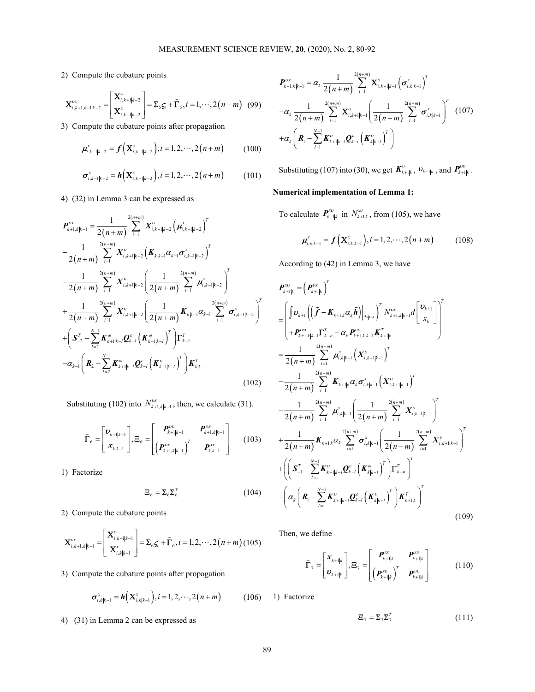2) Compute the cubature points

$$
\mathbf{X}_{i,k+1,k-1|k-2}^{vx} = \begin{bmatrix} \mathbf{X}_{i,k+1|k-2}^{v} \\ \mathbf{X}_{i,k-1|k-2}^{x} \end{bmatrix} = \mathbf{\Sigma}_{5}\mathbf{G}_{i} + \hat{\mathbf{\Gamma}}_{5}, i = 1,\cdots,2(n+m) \quad (99)
$$

3) Compute the cubature points after propagation

$$
\mu_{i,k-1|k-2}^{x} = f\left(\mathbf{X}_{i,k-1|k-2}^{x}\right), i=1,2,\cdots,2(n+m) \qquad (100)
$$

$$
\sigma_{i,k-1|k-2}^{x} = h\Big(\mathbf{X}_{i,k-1|k-2}^{x}\Big), i=1,2,\cdots,2(n+m) \qquad (101)
$$

4) (32) in Lemma 3 can be expressed as

2) Compute the cubature points  
\n
$$
\mathbf{X}_{i,k+1,k-1|k-2}^{av} = \begin{bmatrix} \mathbf{X}_{i,k+1|k-2}^{v} \\ \mathbf{X}_{i,k+1|k-2}^{v} \end{bmatrix} = \mathbf{\Sigma}_{5} \mathbf{S}_{r} + \mathbf{\hat{r}}_{5}, i = 1, \dots, 2(n+m)
$$
 (99)  
\n3) Compute the cubature points after propagation  
\n
$$
\mathbf{A}_{i,k-1|k-2}^{av} = \mathbf{f} \left( \mathbf{X}_{i,k-1|k-2}^{v} \right) = \mathbf{I}_{2,1} \mathbf{S}_{i,k-1}^{av} = \mathbf{I}_{i} \mathbf{S}_{i,k-1|k-1}^{av} = \mathbf{I}_{i} \mathbf{S}_{i,k-1|k-1}^{av} = \mathbf{I}_{i} \mathbf{S}_{i,k+1|k-1}^{av} = \mathbf{I}_{i} \left( \frac{1}{2(n+m)} \sum_{i=1}^{2(n+m)} \sigma_{i,k|k-1}^{v} \right)^{T} \quad (107)
$$
\n4) (32) in Lemma 3 can be expressed as  
\n
$$
\mathbf{A}_{i,k-1|k-2}^{av} = \mathbf{f} \left( \mathbf{X}_{i,k-1|k-2}^{v} \right), i = 1, 2, \dots, 2(n+m)
$$
 (100)  
\n
$$
\mathbf{A}_{i,k-1|k-2}^{av} = \mathbf{f} \left( \mathbf{X}_{i,k-1|k-2}^{v} \right), i = 1, 2, \dots, 2(n+m)
$$
 (101)  
\n3) Compute the cubature points after propagation  
\n
$$
\mathbf{A}_{i,k|k-1}^{av} = \mathbf{I}_{i} \left( \mathbf{X}_{i,k-1|k-2}^{av} \right), i = 1, 2, \dots, 2(n+m)
$$
 (101)  
\n3) Compute the expression of the expression of the equation  $\mathbf{A}_{i,k|k-1}^{av} = \mathbf{I}_{i} \left( \mathbf{X}_{i,k-1|k-2}^{av} \right), i = 1, 2, \dots, 2(n+m)$  (101)  
\n
$$
\mathbf{A}_{i,k|k-1}^{av} = \mathbf{I}_{i} \left( \mathbf{
$$

Substituting (102) into  $N_{k+1, k|k-1}^{vx}$ , then, we calculate (31).

$$
\widehat{\boldsymbol{\Gamma}}_6 = \begin{bmatrix} \boldsymbol{v}_{k+1|k-1} \\ \boldsymbol{x}_{k|k-1} \end{bmatrix}, \boldsymbol{\Xi}_6 = \begin{bmatrix} \boldsymbol{P}_{k+1|k-1}^{vv} & \boldsymbol{P}_{k+1,k|k-1}^{vx} \\ \left(\boldsymbol{P}_{k+1,k|k-1}^{vx}\right)^T & \boldsymbol{P}_{k|k-1}^{xx} \end{bmatrix}
$$
(103)

1) Factorize

$$
\mathbf{\Xi}_{6} = \mathbf{\Sigma}_{6} \mathbf{\Sigma}_{6}^{T} \tag{104}
$$

2) Compute the cubature points

$$
\mathbf{X}_{i,k+1,k|k-1}^{\nu x} = \begin{bmatrix} \mathbf{X}_{i,k+1|k-1}^{\nu} \\ \mathbf{X}_{i,k|k-1}^{x} \end{bmatrix} = \mathbf{\Sigma}_{6}\mathbf{G}_{i} + \mathbf{\hat{\Gamma}}_{6}, i = 1, 2, \cdots, 2(n+m) \ (105)
$$

3) Compute the cubature points after propagation

$$
\sigma_{i,k|k-1}^{x} = h\Big(\mathbf{X}_{i,k|k-1}^{x}\Big), i = 1, 2, \cdots, 2(n+m) \quad (106) \quad 1
$$

4) (31) in Lemma 2 can be expressed as

MEASUREMENT SCIENCE REVIEW, 20, (2020), No. 2, 80-92  
\npute the cubature points  
\n
$$
P_{k+1,k+1}^{(p)} = a_k \frac{1}{2(n+m)} \sum_{i=1}^{2(n+m)} \sum_{k=1}^{2(n+m)} \sum_{k=1}^{2(n+m)} \sum_{j=1}^{2(n+m)} \sum_{k=1}^{2(n+m)} \sum_{k=1}^{2(n+m)} \sum_{j=1}^{2(n+m)} \sum_{j=1}^{2(n+m)} \sum_{j=1}^{2(n+m)} \sum_{j=1}^{2(n+m)} \sum_{j=1}^{2(n+m)} \sum_{j=1}^{2(n+m)} \sum_{j=1}^{2(n+m)} \sum_{j=1}^{2(n+m)} \sum_{j=1}^{2(n+m)} \sum_{j=1}^{2(n+m)} \sum_{j=1}^{2(n+m)} \sum_{j=1}^{2(n+m)} \sum_{j=1}^{2(n+m)} \sum_{j=1}^{2(n+m)} \sum_{j=1}^{2(n+m)} \sum_{j=1}^{2(n+m)} \sum_{j=1}^{2(n+m)} \sum_{j=1}^{2(n+m)} \sum_{j=1}^{2(n+m)} \sum_{j=1}^{2(n+m)} \sum_{j=1}^{2(n+m)} \sum_{j=1}^{2(n+m)} \sum_{j=1}^{2(n+m)} \sum_{j=1}^{2(n+m)} \sum_{j=1}^{2(n+m)} \sum_{j=1}^{2(n+m)} \sum_{j=1}^{2(n+m)} \sum_{j=1}^{2(n+m)} \sum_{j=1}^{2(n+m)} \sum_{j=1}^{2(n+m)} \sum_{j=1}^{2(n+m)} \sum_{j=1}^{2(n+m)} \sum_{j=1}^{2(n+m)} \sum_{j=1}^{2(n+m)} \sum_{j=1}^{2(n+m)} \sum_{j=1}^{2(n+m)} \sum_{j=1}^{2(n+m)} \sum_{j=1}^{2(n+m)} \sum_{j=1}^{2(n+m)} \sum_{j=1}^{2(n+m)} \sum_{j=1}^{2(n+m)} \sum_{j=1}^{2(n+m)} \sum_{j=1}^{2(n+m)} \sum_{j=1}^{2(n+m)} \sum_{j=1}^{2(n+m)} \sum_{j=1}^{2(n+m)} \sum_{j=1}^{2(n+m)} \sum_{j=1}^{2(n+m)} \sum_{j=1}^{2(n+m)} \sum_{j=1}^{2(n+m)} \sum_{j=1}^{2(n+m)} \sum_{j=1}
$$

Substituting (107) into (30), we get  $K_{k+1|k}^{\nu}$ ,  $v_{k+1|k}$ , and  $P_{k+1|k}^{\nu\upsilon}$ .

# Numerical implementation of Lemma 1:

To calculate  $P_{k+1|k}^{xv}$  in  $N_{k+1|k}^{xv}$ , from (105), we have

$$
\mu_{i,k|k-1}^x = f\Big(\mathbf{X}_{i,k|k-1}^x\Big), i = 1, 2, \cdots, 2(n+m) \tag{108}
$$

According to (42) in Lemma 3, we have

$$
= \begin{bmatrix} \mathbf{K}_{2n+1,n-1}^{*} \\ \mathbf{K}_{2n+1,n-2}^{*} \end{bmatrix} = \mathbf{E}_{s}\mathbf{S}_{s} + \mathbf{\bar{T}}_{s}, i = 1, ..., 2(n+m)
$$
 (99)  
\n
$$
= \begin{bmatrix} \mathbf{K}_{2n+1,n-1}^{*} \\ \mathbf{K}_{2n+1,n-2}^{*} \end{bmatrix} = \mathbf{E}_{s}\mathbf{S}_{s} + \mathbf{\bar{T}}_{s}, i = 1, ..., 2(n+m)
$$
 (100)  
\n
$$
+ \alpha_{s} \left( \mathbf{R}_{s} - \frac{k}{c^{2}} \mathbf{K}_{s}^{*} \mathbf{u}_{s}, \mathbf{R}_{s}^{*} \right) \left( \frac{1}{2(n+m)} \sum_{i=1}^{2(n+m)} \mathbf{K}_{2n+1,n-1}^{*} \right)^{T} \left( 107 \right)
$$
\n
$$
+ \alpha_{s} \left( \mathbf{R}_{s} - \frac{k}{c^{2}} \mathbf{K}_{s}^{*} \mathbf{u}_{s}, \mathbf{R}_{s}^{*} \right) \left( \mathbf{K}_{s}^{*} \mathbf{u}_{s}, \mathbf{R}_{s} \right)^{T} \right)
$$
\n
$$
+ \alpha_{s} \left( \mathbf{R}_{s} - \frac{k}{c^{2}} \mathbf{K}_{s}^{*} \mathbf{u}_{s}, \mathbf{R}_{s}^{*} \right) \left( \mathbf{K}_{s}^{*} \mathbf{u}_{s}, \mathbf{R}_{s}^{*} \right)
$$
\n
$$
+ \alpha_{s} \left( \mathbf{R}_{s} - \mathbf{R}_{s}^{*} \mathbf{u}_{s}, \mathbf{R}_{s}^{*} \right) \left( \mathbf{K}_{s} \mathbf{u}_{s}, \mathbf{R}_{s}^{*} \right)^{T} \right)
$$
\n
$$
+ \alpha_{s} \left( \mathbf{K}_{s} - \mathbf{R}_{s}^{*} \mathbf{u}_{s}, \mathbf{R}_{s}^{*} \right)
$$
\n
$$
+ \alpha_{s} \left( \mathbf{K}_{s} - \mathbf{R}_{s}^{*} \mathbf{u}_{s}, \mathbf{R}_{s}^{*} \right)
$$
\n
$$
+
$$

Then, we define

$$
\widehat{\boldsymbol{\Gamma}}_{7} = \begin{bmatrix} \boldsymbol{x}_{k+1|k} \\ \boldsymbol{v}_{k+1|k} \end{bmatrix}, \boldsymbol{\Xi}_{7} = \begin{bmatrix} \boldsymbol{P}_{k+1|k}^{\mathrm{xx}} & \boldsymbol{P}_{k+1|k}^{\mathrm{xy}} \\ \left(\boldsymbol{P}_{k+1|k}^{\mathrm{xy}}\right)^{T} & \boldsymbol{P}_{k+1|k}^{\mathrm{yy}} \end{bmatrix} \tag{110}
$$

1) Factorize

$$
\mathbf{\Xi}_{7} = \mathbf{\Sigma}_{7} \mathbf{\Sigma}_{7}^{T} \tag{111}
$$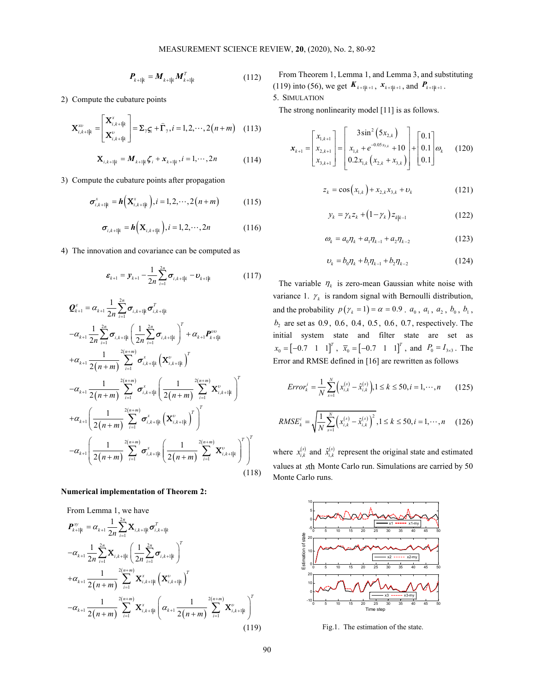$$
\boldsymbol{P}_{k+1|k} = \boldsymbol{M}_{k+1|k} \boldsymbol{M}_{k+1|k}^T
$$
 (112)

2) Compute the cubature points

$$
\mathbf{X}_{i,k+1|k}^{\mathcal{X}^{\mathcal{U}}} = \begin{bmatrix} \mathbf{X}_{i,k+1|k}^{\mathcal{X}} \\ \mathbf{X}_{i,k+1|k}^{\mathcal{U}} \end{bmatrix} = \mathbf{\Sigma}_7 \mathbf{S}_i + \widehat{\boldsymbol{\Gamma}}_7, i = 1, 2, \cdots, 2(n+m) \quad (113)
$$

$$
\mathbf{X}_{i,k+1|k} = \mathbf{M}_{k+1|k}\mathbf{G}_i + \mathbf{x}_{k+1|k}, i = 1,\cdots,2n
$$
 (114)

3) Compute the cubature points after propagation

$$
\sigma_{i,k+1|k}^{x} = h\Big(\mathbf{X}_{i,k+1|k}^{x}\Big), i = 1,2,\cdots,2(n+m)
$$
 (115)

$$
\boldsymbol{\sigma}_{i,k+1|k} = \boldsymbol{h}\left(\mathbf{X}_{i,k+1|k}\right), i = 1,2,\cdots,2n \tag{116}
$$

4) The innovation and covariance can be computed as

$$
\boldsymbol{\varepsilon}_{k+1} = \boldsymbol{y}_{k+1} - \frac{1}{2n} \sum_{i=1}^{2n} \boldsymbol{\sigma}_{i,k+1|k} - \boldsymbol{\varepsilon}_{k+1|k}
$$
 (117)

$$
\mathbf{X}_{i,s+ip}^{\text{in}} = \begin{bmatrix} \mathbf{X}_{i,s+ip}^* \\ \mathbf{X}_{i,s+ip}^* \end{bmatrix} = \begin{bmatrix} \mathbf{X}_{i,s+ip}^* \\ \mathbf{X}_{i,s+ip}^* \end{bmatrix} = \begin{bmatrix} \mathbf{X}_{i,s+ip}^* \\ \mathbf{X}_{i,s+ip}^* \end{bmatrix} = \mathbf{I}_{i,s+ip}^* \mathbf{I}_{s+ip,j}^* = \mathbf{I}_{1},...,2n
$$
\n(114)  
\nCompute the cubature points after propagation  
\n
$$
\sigma_{i,s+ip}^* = \mathbf{h} \Big( \mathbf{X}_{i,s+ip}^* \Big) , i = 1,2,...,2(n+m)
$$
\n(115)  
\n
$$
\sigma_{i,s+ip}^* = \mathbf{h} \Big( \mathbf{X}_{i,s+ip}^* \Big) , i = 1,2,...,2(n+m)
$$
\n(116)  
\n
$$
\sigma_{i,s+ip}^* = \mathbf{h} \Big( \mathbf{X}_{i,s+ip}^* \Big) , i = 1,2,...,2n
$$
\n(116)  
\nThe innovation and covariance can be computed as  
\n
$$
\mathbf{e}_{k+1} = \mathbf{y}_{k+1} = \frac{1}{2n} \sum_{i=1}^n \sigma_{i,s+ip}^* = \mathbf{0}_{k+1}
$$
\n(117)  
\n
$$
\mathbf{f}_{k+1} = \mathbf{b}_{k+1} + \mathbf{b}_{k+1} + \mathbf{b}_{k+1} + \mathbf{c}_{k+1} + \mathbf{c}_{k+1} + \mathbf{c}_{k+1} + \mathbf{c}_{k+1} + \mathbf{c}_{k+1} + \mathbf{c}_{k+1} + \mathbf{c}_{k+1} + \mathbf{c}_{k+1} + \mathbf{c}_{k+1} + \mathbf{c}_{k+1} + \mathbf{c}_{k+1} + \mathbf{c}_{k+1} + \mathbf{c}_{k+1} + \mathbf{c}_{k+1} + \mathbf{c}_{k+1} + \mathbf{c}_{k+1} + \mathbf{c}_{k+1} + \mathbf{c}_{k+1} + \mathbf{c}_{k+1} + \mathbf{c}_{k+1} + \mathbf{c}_{k+1} + \math
$$

## Numerical implementation of Theorem 2:

From Lemma 1, we have

$$
-\alpha_{k+1} \frac{1}{2(n+m)} \sum_{i=1}^{\infty} \sigma_{i,k+1|k}^{x} \left( \frac{1}{2(n+m)} \sum_{i=1}^{2(n+m)} \mathbf{X}_{i,k+1|k}^{x} \right)
$$
\n
$$
+\alpha_{k+1} \left( \frac{1}{2(n+m)} \sum_{i=1}^{2(n+m)} \sigma_{i,k+1|k}^{x} \left( \mathbf{X}_{i,k+1|k}^{y} \right)^{T} \right)^{T}
$$
\n
$$
-\alpha_{k+1} \left( \frac{1}{2(n+m)} \sum_{i=1}^{2(n+m)} \sigma_{i,k+1|k}^{x} \left( \frac{1}{2(n+m)} \sum_{i=1}^{2(n+m)} \mathbf{X}_{i,k+1|k}^{y} \right)^{T} \right)^{T}
$$
\n
$$
(118)
$$
\n
$$
\text{numerical implementation of Theorem 2:}
$$
\nFrom Lemma 1, we have\n
$$
\mathbf{P}_{k+1|k}^{xy} = \alpha_{k+1} \frac{1}{2n} \sum_{i=1}^{2n} \mathbf{X}_{i,k+1|k} \sigma_{i,k+1|k}^{x}
$$
\n
$$
-\alpha_{k+1} \frac{1}{2n} \sum_{i=1}^{2n} \mathbf{X}_{i,k+1|k}^{x} \left( \frac{1}{2(n+m)} \sum_{i=1}^{2n} \sigma_{i,k+1|k}^{x} \right)^{T}
$$
\n
$$
+\alpha_{k+1} \frac{1}{2(n+m)} \sum_{i=1}^{2(n+m)} \mathbf{X}_{i,k+1|k}^{x} \left( \mathbf{X}_{i,k+1|k}^{y} \right)^{T}
$$
\n
$$
-\alpha_{k+1} \frac{1}{2n} \sum_{i=1}^{2(n+m)} \mathbf{X}_{i,k+1|k}^{x} \left( \mathbf{X}_{i,k+1|k}^{y} \right)^{T}
$$
\n
$$
-\alpha_{k+1} \frac{1}{2(n+m)} \sum_{i=1}^{2(n+m)} \mathbf{X}_{i,k+1|k}^{x} \left( \alpha_{k+1} \frac{1}{2(n+m)} \sum_{i=1}^{2(n+m)} \mathbf{X}_{i,k+1|k}^{y} \right)^{T}
$$
\n
$$
+\alpha_{k+
$$

From Theorem 1, Lemma 1, and Lemma 3, and substituting (119) into (56), we get  $K_{k+1|k+1}$ ,  $x_{k+1|k+1}$ , and  $P_{k+1|k+1}$ .

# 5. SIMULATION

The strong nonlinearity model [11] is as follows.

MEASUREMENT SCIENCE REVIEW, 20, (2020), No. 2, 80-92  
\n
$$
P_{k+1|k} = M_{k+1|k}M_{k+1|k}^{T}
$$
\n
$$
= M_{k+1|k}M_{k+1|k}^{T}
$$
\n
$$
= \begin{bmatrix}\n\mathbf{X}_{i,k+1|k}^{*} & (112) & \text{From Theorem 1, Lemma 1, and Lemma 3, and substituting (119) into (56), we get  $\mathbf{K}_{k+1|k+1}$ ,  $\mathbf{x}_{k+1|k+1}$ , and  $\mathbf{P}_{k+1|k+1}$ .\n
$$
= \begin{bmatrix}\n\mathbf{X}_{i,k+1|k}^{*} \\
\mathbf{X}_{i,k+1|k}^{*}\n\end{bmatrix} = \mathbf{\Sigma}_{7}\mathbf{S}_{i} + \hat{\mathbf{\Gamma}}_{7}, i = 1, 2, \dots, 2(n+m)
$$
\n
$$
= \begin{bmatrix}\n\mathbf{X}_{i,k+1|k}^{*} \\
\mathbf{X}_{i,k+1|k}^{*}\n\end{bmatrix} = \mathbf{Z}_{7}\mathbf{S}_{i} + \hat{\mathbf{\Gamma}}_{7}, i = 1, 2, \dots, 2(n+m)
$$
\n
$$
= \begin{bmatrix}\n\mathbf{X}_{i,k+1|k}^{*} \\
\mathbf{X}_{i,k+1|k}^{*}\n\end{bmatrix} = \begin{bmatrix}\n\mathbf{X}_{i,k+1|k}^{*} \\
\mathbf{X}_{i,k+1|k}^{*} \\
\mathbf{X}_{i,k+1|k}^{*}\n\end{bmatrix} + \begin{bmatrix}\n\mathbf{0}.\mathbf{1} \\
\mathbf{0}.\mathbf{1} \\
\mathbf{0}.\mathbf{2}\mathbf{X}_{i,k} & \mathbf{X}_{i,k+1|k}\n\end{bmatrix} + \begin{bmatrix}\n\mathbf{0}.\mathbf{1} \\
\mathbf{0}.\mathbf{1} \\
\mathbf{0}.\mathbf{1} \\
\mathbf{0}.\mathbf{X}_{i,k+1|k} & \mathbf{X}_{i,k+1|k}\n\end{bmatrix}, i = 1, 2, \dots, 2(n+m)
$$
\n
$$
= \mathbf{h}\left(\mathbf{X}_{i,k+1|k}^{*}\right), i = 1
$$
$$

$$
z_k = \cos(x_{1,k}) + x_{2,k}x_{3,k} + \nu_k
$$
 (121)

$$
y_k = \gamma_k z_k + (1 - \gamma_k) z_{k|k-1}
$$
 (122)

$$
\omega_k = a_0 \eta_k + a_1 \eta_{k-1} + a_2 \eta_{k-2} \tag{123}
$$

$$
v_k = b_0 \eta_k + b_1 \eta_{k-1} + b_2 \eta_{k-2}
$$
 (124)

after propagation<br>  $z_k = \cos(x_{i,k}) + x_{2,k}x_{3,k} + v_k$  (121)<br>  $i = 1, 2, \dots, 2n$  (115)<br>  $y_k = \gamma_k z_k + (1 - \gamma_k) z_{kj+1}$  (122)<br>  $\omega_k = a_0 \eta_k + a_i \eta_{k-1} + a_i \eta_{k-2}$  (122)<br>  $\omega_k = a_0 \eta_k + a_i \eta_{k-1} + a_i \eta_{k-2}$  (123)<br>  $\sigma_{i,k-i|k} - v_{k+i|k}$  (117)<br>
The v ..., 2n (114)<br>  $x_{k+1} = \begin{bmatrix} x_{2,k+1} \\ x_{2,k+1} \end{bmatrix} = \begin{bmatrix} x_{1,k} + e^{-x} + 10 \\ x_{2,k+2} \end{bmatrix} + \begin{bmatrix} 0.1 \\ 0.1 \end{bmatrix} = \begin{bmatrix} a_{k+1} \\ 0.1 \end{bmatrix}$ <br>
(120)<br>
nagation<br>  $z_k = \cos(x_{1,k}) + x_{2,k}x_{3,k} + v_k$  (121)<br>  $y_k = y_k z_k + (1 - y_k) z_{k|k-1}$  (122)<br>
..., =1,2,...,2*n* (116)<br>
o<sub>λ</sub> = *α<sub>v</sub>n<sub>k</sub>* + *α<sub>t</sub>n<sub>k*-1</sub> + *α<sub>z</sub>n<sub>k-2</sub>* (123)<br>
can be computed as<br>  $v_k = a_0 n_k + a_1 n_{k-1} + a_2 n_{k-2}$  (123)<br>
can be computed as<br>  $v_k = b_0 n_k + b_1 n_{k-1} + b_2 n_{k-2}$  (124)<br>
The variable *n<sub>k</sub>* is zero 2*n* (116)<br>  $y_k = \gamma_k \varepsilon_k + (1 - \gamma_k) \varepsilon_{ik+1}$  (122)<br>
(122)<br>
computed as<br>  $\omega_k = a_0 \eta_k + a_1 \eta_{k-1} + a_2 \eta_{k-2}$  (123)<br>
computed as<br>  $v_k = b_0 \eta_k + b_1 \eta_{k-1} + b_2 \eta_{k-2}$  (124)<br>
The variable  $\eta_k$  is zero-mean Gaussian white noise wi The variable  $\eta_k$  is zero-mean Gaussian white noise with variance 1.  $\gamma_k$  is random signal with Bernoulli distribution, and the probability  $p(\gamma_k = 1) = \alpha = 0.9$ .  $a_0$ ,  $a_1$ ,  $a_2$ ,  $b_0$ ,  $b_1$ ,  $b_2$  are set as 0.9, 0.6, 0.4, 0.5, 0.6, 0.7, respectively. The initial system state and filter state are set as  $\mathbf{x}_{k+1} = \begin{bmatrix} x_{1,k+1} \\ x_{2,k+1} \\ x_{3,k+1} \end{bmatrix} = \begin{bmatrix} 3\sin^2(5x_{2,k}) \\ x_{1,k} + e^{-0.85x_{3,k}} + 10 \\ 0.2x_{1,k}(x_{2,k} + x_{3,k}) + 0 \end{bmatrix} + \begin{bmatrix} 0.1 \\ 0.1 \\ 0.1 \end{bmatrix} \omega_k$  (120)<br>  $z_k = \cos(x_{1,k}) + x_{2,k}x_{3,k} + v_k$  (121)<br>  $y_k = \gamma_k z_k + (1 - \gamma_k) z_{k|k-1}$  (12  $\mathbf{x}_{k+1} = \begin{bmatrix} x_{1,k+1} \\ x_{2,k+1} \\ x_{3,k+1} \end{bmatrix} = \begin{bmatrix} 3\sin^2(5x_{2,k}) \\ x_{1,k} + e^{-4.05x_{3,k}} + 10 \\ 0.2x_{1,k} (x_{2,k} + x_{3,k}) + 0 \\ 0.1 \end{bmatrix} + \begin{bmatrix} 0.1 \\ 0.1 \\ 0.1 \end{bmatrix} \omega_k$  (120)<br>  $z_k = \cos(x_{1,k}) + x_{2,k}x_{3,k} + v_k$  (121)<br>  $y_k = \gamma_k z_k + (1 - \gamma_k) z_{k|k-1$  $\overline{x}_0 = \begin{bmatrix} -0.7 & 1 & 1 \end{bmatrix}^T$ , and  $P_0 = I_{3\times 3}$ . The Error and RMSE defined in [16] are rewritten as follows  $\left[0.2x_{1,k}\left(x_{2,k}+x_{3,k}\right)\right] \left[0.1\right]^{-k}$  (123)<br>  $\cos\left(x_{1,k}\right)+x_{2,k}x_{3,k}+v_k$  (121)<br>  $=\gamma_k z_k + (1-\gamma_k) z_{k|k-1}$  (122)<br>  $=a_0\eta_k + a_1\eta_{k-1} + a_2\eta_{k-2}$  (123)<br>  $=b_0\eta_k + b_1\eta_{k-1} + b_2\eta_{k-2}$  (124)<br>
is zero-mean Gaussian white nois cos( $x_{i,k}$ ) +  $x_{2,k}x_{3,k}$  +  $v_k$  (121)<br>
=  $\gamma_k z_k$  + (1- $\gamma_k$ )  $z_{k|k-1}$  (122)<br>
=  $a_0 \eta_k + a_1 \eta_{k-1} + a_2 \eta_{k-2}$  (123)<br>
=  $b_0 \eta_k + b_1 \eta_{k-1} + b_2 \eta_{k-2}$  (124)<br>
is zero-mean Gaussian white noise with<br>
andom signal with B

$$
Error_{k}^{i} = \frac{1}{N} \sum_{s=1}^{N} \left( x_{i,k}^{(s)} - \hat{x}_{i,k}^{(s)} \right), 1 \le k \le 50, i = 1, \cdots, n \tag{125}
$$

$$
RMSE_{k}^{i} = \sqrt{\frac{1}{N} \sum_{s=1}^{N} \left( x_{i,k}^{(s)} - \hat{x}_{i,k}^{(s)} \right)^{2}}, 1 \leq k \leq 50, i = 1, \cdots, n \quad (126)
$$

where  $x_{i,k}^{(s)}$  and  $\hat{x}_{i,k}^{(s)}$  represent the original state and estimated values at sth Monte Carlo run. Simulations are carried by 50 Monte Carlo runs.



Fig.1. The estimation of the state.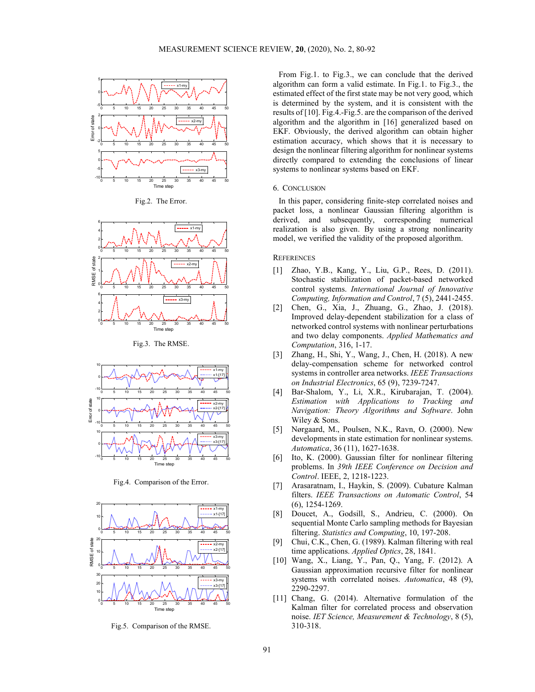

Fig.2. The Error.



Fig.3. The RMSE.



Fig.4. Comparison of the Error.



Fig.5. Comparison of the RMSE.

From Fig.1. to Fig.3., we can conclude that the derived  $\frac{x}{(x+my)}$ ,  $\frac{1}{x}$  algorithm can form a valid estimate. In Fig.1. to Fig.3., the estimated effect of the first state may be not very good, which is determined by the system, and it is consistent with the  $\frac{1}{2}$   $\frac{1}{2}$   $\frac{1}{2}$   $\frac{1}{2}$   $\frac{1}{2}$   $\frac{1}{2}$   $\frac{1}{2}$   $\frac{1}{2}$   $\frac{1}{2}$   $\frac{1}{2}$   $\frac{1}{2}$   $\frac{1}{2}$   $\frac{1}{2}$   $\frac{1}{2}$   $\frac{1}{2}$   $\frac{1}{2}$   $\frac{1}{2}$   $\frac{1}{2}$   $\frac{1}{2}$   $\frac{1}{2}$   $\frac{1}{2}$   $\frac{1}{2}$  algorithm and the algorithm in [16] generalized based on EKF. Obviously, the derived algorithm can obtain higher  $\frac{1}{6}$   $\frac{1}{30}$   $\frac{1}{15}$   $\frac{1}{20}$   $\frac{1}{25}$   $\frac{1}{30}$   $\frac{1}{35}$   $\frac{1}{40}$   $\frac{1}{45}$   $\frac{1}{50}$  estimation accuracy, which shows that it is necessary to design the nonlinear filtering algorithm for nonlinear systems directly compared to extending the conclusions of linear  $\frac{x_{3-my}}{x_{3-my}}$  are systems to nonlinear systems based on EKF.

In this paper, considering finite-step correlated noises and packet loss, a nonlinear Gaussian filtering algorithm is derived, and subsequently, corresponding numerical  $x_1$ -my  $x_2$  realization is also given. By using a strong nonlinearity model, we verified the validity of the proposed algorithm.

#### **REFERENCES**

- [1] Zhao, Y.B., Kang, Y., Liu, G.P., Rees, D. (2011). Stochastic stabilization of packet-based networked  $\frac{1}{2}$   $\frac{1}{2}$   $\frac{1}{2}$   $\frac{1}{2}$   $\frac{1}{2}$   $\frac{1}{2}$   $\frac{1}{2}$   $\frac{1}{2}$   $\frac{1}{2}$   $\frac{1}{2}$   $\frac{1}{2}$   $\frac{1}{2}$   $\frac{1}{2}$   $\frac{1}{2}$   $\frac{1}{2}$   $\frac{1}{2}$   $\frac{1}{2}$   $\frac{1}{2}$   $\frac{1}{2}$   $\frac{1}{2}$   $\frac{1}{2}$   $\frac{1}{2}$   $\frac{1}{\text{logmin}}$  Computing, Information and Control, 7 (5), 2441-2455.
- [2] Chen, G., Xia, J., Zhuang, G., Zhao, J. (2018). Improved delay-dependent stabilization for a class of  $\frac{1}{2}$   $\frac{1}{2}$   $\frac{1}{2}$   $\frac{2}{3}$   $\frac{25}{25}$   $\frac{30}{35}$   $\frac{35}{40}$   $\frac{45}{50}$   $\frac{50}{20}$   $\frac{1}{2}$  networked control systems with nonlinear perturbations and two delay components. Applied Mathematics and Computation, 316, 1-17.
	- [3] Zhang, H., Shi, Y., Wang, J., Chen, H. (2018). A new delay-compensation scheme for networked control  $\mathbb{R}^{x_1 \text{ may}}$  systems in controller area networks. IEEE Transactions on Industrial Electronics, 65 (9), 7239-7247.
- $\frac{1}{6}$  5 10 15 20 25 30 35 40 45 50 [4] Bar-Shalom, Y., Li, X.R., Kirubarajan, T. (2004). Estimation with Applications to Tracking and  $N$ avigation: Theory Algorithms and Software. John Wiley & Sons.
- $\begin{bmatrix} 5 \end{bmatrix}$  Nørgaard, M., Poulsen, N.K., Ravn, O. (2000). New  $\text{d}$  developments in state estimation for nonlinear systems. Automatica, 36 (11), 1627-1638.  $x3-17$ ]
- $\frac{1}{6}$   $\frac{1}{30}$   $\frac{1}{10}$   $\frac{1}{30}$   $\frac{1}{25}$   $\frac{1}{30}$   $\frac{1}{30}$   $\frac{1}{45}$   $\frac{1}{50}$   $\frac{1}{60}$   $\frac{1}{30}$   $\frac{1}{10}$   $\frac{1}{10}$   $\frac{1}{10}$   $\frac{1}{10}$   $\frac{1}{10}$   $\frac{1}{10}$   $\frac{1}{10}$   $\frac{1}{10}$   $\frac{1}{10}$   $\$ Time step **problems**. In 39th IEEE Conference on Decision and Control. IEEE, 2, 1218-1223.
	- [7] Arasaratnam, I., Haykin, S. (2009). Cubature Kalman filters. IEEE Transactions on Automatic Control, 54 (6), 1254-1269.
- $\begin{bmatrix}\n x_1 + ny \\ x_1 + iy_1\n \end{bmatrix}$  [8] Doucet, A., Godsill, S., Andrieu, C. (2000). On sequential Monte Carlo sampling methods for Bayesian  $\frac{6}{15}$   $\frac{1}{10}$   $\frac{1}{15}$   $\frac{1}{20}$   $\frac{2}{25}$   $\frac{30}{25}$   $\frac{40}{45}$   $\frac{45}{50}$   $\frac{50}{20}$   $\frac{1}{15}$   $\frac{1}{10}$   $\frac{1}{10}$   $\frac{1}{10}$   $\frac{1}{10}$   $\frac{1}{10}$   $\frac{1}{10}$   $\frac{1}{10}$   $\frac{1}{10}$   $\frac{1}{10}$   $\frac{1}{10$  $[8]$ 
	- [9] Chui, C.K., Chen, G. (1989). Kalman filtering with real  $\frac{x^{2+17}}{1}$  time applications. *Applied Optics*, 28, 1841.
- [10] Wang, X., Liang, Y., Pan, Q., Yang, F. (2012). A <sup>0</sup> <sup>5</sup> <sup>10</sup> <sup>15</sup> <sup>20</sup> <sup>25</sup> <sup>30</sup> <sup>35</sup> <sup>40</sup> <sup>45</sup> <sup>50</sup> **6** Gaussian approximation recursive filter for nonlinear  $\lim_{x \to m_y}$  systems with correlated noises. *Automatica*, 48 (9), 2290-2297.
- [11] Chang, G. (2014). Alternative formulation of the <sup>0</sup> 5 <sup>10</sup> <sup>15 20</sup> <sup>25</sup> <sup>30</sup> <sup>35</sup> <sup>40</sup> <sup>45 50</sup> Kalman filter for correlated process and observation noise. IET Science, Measurement & Technology, 8 (5), 310-318.